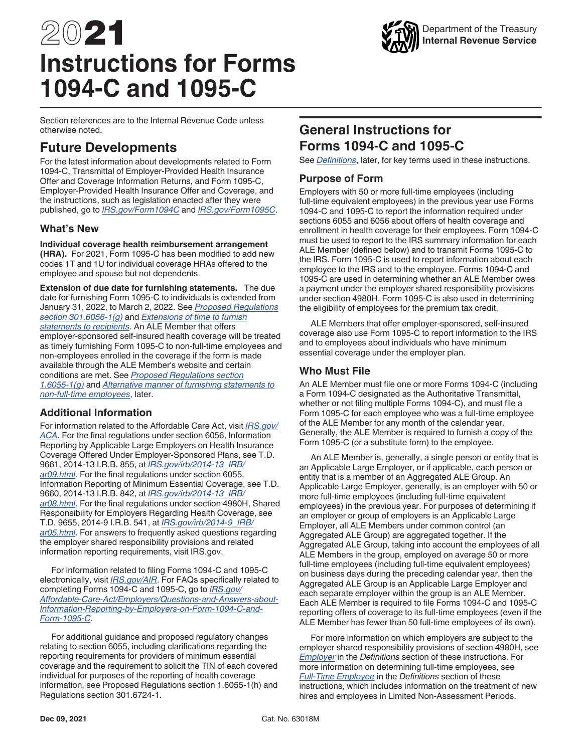# 2021 **Instructions for Forms 1094-C and 1095-C**

Department of the Treasury **Internal Revenue Service**

Section references are to the Internal Revenue Code unless otherwise noted.

## **Future Developments**

For the latest information about developments related to Form 1094-C, Transmittal of Employer-Provided Health Insurance Offer and Coverage Information Returns, and Form 1095-C, Employer-Provided Health Insurance Offer and Coverage, and the instructions, such as legislation enacted after they were published, go to *[IRS.gov/Form1094C](https://www.irs.gov/form1094c)* and *[IRS.gov/Form1095C](https://www.irs.gov/form1095c)*.

#### **What's New**

**Individual coverage health reimbursement arrangement** 

**(HRA).** For 2021, Form 1095-C has been modified to add new codes 1T and 1U for individual coverage HRAs offered to the employee and spouse but not dependents.

**Extension of due date for furnishing statements.** The due date for furnishing Form 1095-C to individuals is extended from January 31, 2022, to March 2, 2022. See *[Proposed Regulations](https://www.federalregister.gov/documents/2021/12/06/2021-25785/information-reporting-of-health-insurance-coverage-and-other-issues)  [section 301.6056-1\(g\)](https://www.federalregister.gov/documents/2021/12/06/2021-25785/information-reporting-of-health-insurance-coverage-and-other-issues)* and *[Extensions of time to furnish](#page-5-0) [statements to recipients](#page-5-0)*. An ALE Member that offers employer-sponsored self-insured health coverage will be treated as timely furnishing Form 1095-C to non-full-time employees and non-employees enrolled in the coverage if the form is made available through the ALE Member's website and certain conditions are met. See *[Proposed Regulations section](https://www.federalregister.gov/documents/2021/12/06/2021-25785/information-reporting-of-health-insurance-coverage-and-other-issues) [1.6055-1\(g\)](https://www.federalregister.gov/documents/2021/12/06/2021-25785/information-reporting-of-health-insurance-coverage-and-other-issues)* and *[Alternative manner of furnishing statements to](#page-5-0) [non-full-time employees](#page-5-0)*, later.

#### **Additional Information**

For information related to the Affordable Care Act, visit *[IRS.gov/](https://www.irs.gov/aca) [ACA](https://www.irs.gov/aca)*. For the final regulations under section 6056, Information Reporting by Applicable Large Employers on Health Insurance Coverage Offered Under Employer-Sponsored Plans, see T.D. 9661, 2014-13 I.R.B. 855, at *[IRS.gov/irb/2014-13\\_IRB/](https://www.irs.gov/irb/2014-13_IRB/ar09.html) [ar09.html](https://www.irs.gov/irb/2014-13_IRB/ar09.html)*. For the final regulations under section 6055, Information Reporting of Minimum Essential Coverage, see T.D. 9660, 2014-13 I.R.B. 842, at *[IRS.gov/irb/2014-13\\_IRB/](https://www.irs.gov/irb/2014-13_IRB/ar08.html) [ar08.html](https://www.irs.gov/irb/2014-13_IRB/ar08.html)*. For the final regulations under section 4980H, Shared Responsibility for Employers Regarding Health Coverage, see T.D. 9655, 2014-9 I.R.B. 541, at *[IRS.gov/irb/2014-9\\_IRB/](https://www.irs.gov/irb/2014-9_IRB/ar05.html) [ar05.html](https://www.irs.gov/irb/2014-9_IRB/ar05.html)*. For answers to frequently asked questions regarding the employer shared responsibility provisions and related information reporting requirements, visit IRS.gov.

For information related to filing Forms 1094-C and 1095-C electronically, visit *[IRS.gov/AIR](https://www.irs.gov/air)*. For FAQs specifically related to completing Forms 1094-C and 1095-C, go to *[IRS.gov/](https://www.irs.gov/Affordable-Care-Act/Employers/Questions-and-Answers-about-Information-Reporting-by-Employers-on-Form-1094-C-and-Form-1095-C) [Affordable-Care-Act/Employers/Questions-and-Answers-about-](https://www.irs.gov/Affordable-Care-Act/Employers/Questions-and-Answers-about-Information-Reporting-by-Employers-on-Form-1094-C-and-Form-1095-C)[Information-Reporting-by-Employers-on-Form-1094-C-and-](https://www.irs.gov/Affordable-Care-Act/Employers/Questions-and-Answers-about-Information-Reporting-by-Employers-on-Form-1094-C-and-Form-1095-C)[Form-1095-C](https://www.irs.gov/Affordable-Care-Act/Employers/Questions-and-Answers-about-Information-Reporting-by-Employers-on-Form-1094-C-and-Form-1095-C)*.

For additional guidance and proposed regulatory changes relating to section 6055, including clarifications regarding the reporting requirements for providers of minimum essential coverage and the requirement to solicit the TIN of each covered individual for purposes of the reporting of health coverage information, see Proposed Regulations section 1.6055-1(h) and Regulations section 301.6724-1.

## **General Instructions for Forms 1094-C and 1095-C**

See *[Definitions](#page-13-0)*, later, for key terms used in these instructions.

#### **Purpose of Form**

Employers with 50 or more full-time employees (including full-time equivalent employees) in the previous year use Forms 1094-C and 1095-C to report the information required under sections 6055 and 6056 about offers of health coverage and enrollment in health coverage for their employees. Form 1094-C must be used to report to the IRS summary information for each ALE Member (defined below) and to transmit Forms 1095-C to the IRS. Form 1095-C is used to report information about each employee to the IRS and to the employee. Forms 1094-C and 1095-C are used in determining whether an ALE Member owes a payment under the employer shared responsibility provisions under section 4980H. Form 1095-C is also used in determining the eligibility of employees for the premium tax credit.

ALE Members that offer employer-sponsored, self-insured coverage also use Form 1095-C to report information to the IRS and to employees about individuals who have minimum essential coverage under the employer plan.

#### **Who Must File**

An ALE Member must file one or more Forms 1094-C (including a Form 1094-C designated as the Authoritative Transmittal, whether or not filing multiple Forms 1094-C), and must file a Form 1095-C for each employee who was a full-time employee of the ALE Member for any month of the calendar year. Generally, the ALE Member is required to furnish a copy of the Form 1095-C (or a substitute form) to the employee.

An ALE Member is, generally, a single person or entity that is an Applicable Large Employer, or if applicable, each person or entity that is a member of an Aggregated ALE Group. An Applicable Large Employer, generally, is an employer with 50 or more full-time employees (including full-time equivalent employees) in the previous year. For purposes of determining if an employer or group of employers is an Applicable Large Employer, all ALE Members under common control (an Aggregated ALE Group) are aggregated together. If the Aggregated ALE Group, taking into account the employees of all ALE Members in the group, employed on average 50 or more full-time employees (including full-time equivalent employees) on business days during the preceding calendar year, then the Aggregated ALE Group is an Applicable Large Employer and each separate employer within the group is an ALE Member. Each ALE Member is required to file Forms 1094-C and 1095-C reporting offers of coverage to its full-time employees (even if the ALE Member has fewer than 50 full-time employees of its own).

For more information on which employers are subject to the employer shared responsibility provisions of section 4980H, see *[Employer](#page-15-0)* in the *Definitions* section of these instructions. For more information on determining full-time employees, see *[Full-Time Employee](#page-15-0)* in the *Definitions* section of these instructions, which includes information on the treatment of new hires and employees in Limited Non-Assessment Periods.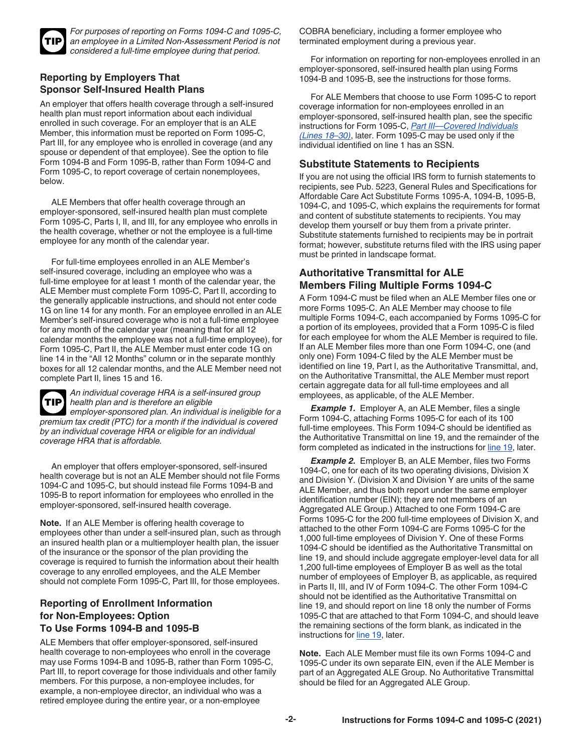<span id="page-1-0"></span>

*For purposes of reporting on Forms 1094-C and 1095-C, an employee in a Limited Non-Assessment Period is not considered a full-time employee during that period.*

#### **Reporting by Employers That Sponsor Self-Insured Health Plans**

An employer that offers health coverage through a self-insured health plan must report information about each individual enrolled in such coverage. For an employer that is an ALE Member, this information must be reported on Form 1095-C, Part III, for any employee who is enrolled in coverage (and any spouse or dependent of that employee). See the option to file Form 1094-B and Form 1095-B, rather than Form 1094-C and Form 1095-C, to report coverage of certain nonemployees, below.

ALE Members that offer health coverage through an employer-sponsored, self-insured health plan must complete Form 1095-C, Parts I, II, and III, for any employee who enrolls in the health coverage, whether or not the employee is a full-time employee for any month of the calendar year.

For full-time employees enrolled in an ALE Member's self-insured coverage, including an employee who was a full-time employee for at least 1 month of the calendar year, the ALE Member must complete Form 1095-C, Part II, according to the generally applicable instructions, and should not enter code 1G on line 14 for any month. For an employee enrolled in an ALE Member's self-insured coverage who is not a full-time employee for any month of the calendar year (meaning that for all 12 calendar months the employee was not a full-time employee), for Form 1095-C, Part II, the ALE Member must enter code 1G on line 14 in the "All 12 Months" column or in the separate monthly boxes for all 12 calendar months, and the ALE Member need not complete Part II, lines 15 and 16.



*An individual coverage HRA is a self-insured group health plan and is therefore an eligible employer-sponsored plan. An individual is ineligible for a* 

*premium tax credit (PTC) for a month if the individual is covered by an individual coverage HRA or eligible for an individual coverage HRA that is affordable.*

An employer that offers employer-sponsored, self-insured health coverage but is not an ALE Member should not file Forms 1094-C and 1095-C, but should instead file Forms 1094-B and 1095-B to report information for employees who enrolled in the employer-sponsored, self-insured health coverage.

**Note.** If an ALE Member is offering health coverage to employees other than under a self-insured plan, such as through an insured health plan or a multiemployer health plan, the issuer of the insurance or the sponsor of the plan providing the coverage is required to furnish the information about their health coverage to any enrolled employees, and the ALE Member should not complete Form 1095-C, Part III, for those employees.

#### **Reporting of Enrollment Information for Non-Employees: Option To Use Forms 1094-B and 1095-B**

ALE Members that offer employer-sponsored, self-insured health coverage to non-employees who enroll in the coverage may use Forms 1094-B and 1095-B, rather than Form 1095-C, Part III, to report coverage for those individuals and other family members. For this purpose, a non-employee includes, for example, a non-employee director, an individual who was a retired employee during the entire year, or a non-employee

COBRA beneficiary, including a former employee who terminated employment during a previous year.

For information on reporting for non-employees enrolled in an employer-sponsored, self-insured health plan using Forms 1094-B and 1095-B, see the instructions for those forms.

For ALE Members that choose to use Form 1095-C to report coverage information for non-employees enrolled in an employer-sponsored, self-insured health plan, see the specific instructions for Form 1095-C, *[Part III—Covered Individuals](#page-12-0) [\(Lines 18–30\)](#page-12-0)*, later. Form 1095-C may be used only if the individual identified on line 1 has an SSN.

#### **Substitute Statements to Recipients**

If you are not using the official IRS form to furnish statements to recipients, see Pub. 5223, General Rules and Specifications for Affordable Care Act Substitute Forms 1095-A, 1094-B, 1095-B, 1094-C, and 1095-C, which explains the requirements for format and content of substitute statements to recipients. You may develop them yourself or buy them from a private printer. Substitute statements furnished to recipients may be in portrait format; however, substitute returns filed with the IRS using paper must be printed in landscape format.

#### **Authoritative Transmittal for ALE Members Filing Multiple Forms 1094-C**

A Form 1094-C must be filed when an ALE Member files one or more Forms 1095-C. An ALE Member may choose to file multiple Forms 1094-C, each accompanied by Forms 1095-C for a portion of its employees, provided that a Form 1095-C is filed for each employee for whom the ALE Member is required to file. If an ALE Member files more than one Form 1094-C, one (and only one) Form 1094-C filed by the ALE Member must be identified on line 19, Part I, as the Authoritative Transmittal, and, on the Authoritative Transmittal, the ALE Member must report certain aggregate data for all full-time employees and all employees, as applicable, of the ALE Member.

**Example 1.** Employer A, an ALE Member, files a single Form 1094-C, attaching Forms 1095-C for each of its 100 full-time employees. This Form 1094-C should be identified as the Authoritative Transmittal on line 19, and the remainder of the form completed as indicated in the instructions for [line 19](#page-6-0), later.

**Example 2.** Employer B, an ALE Member, files two Forms 1094-C, one for each of its two operating divisions, Division X and Division Y. (Division X and Division Y are units of the same ALE Member, and thus both report under the same employer identification number (EIN); they are not members of an Aggregated ALE Group.) Attached to one Form 1094-C are Forms 1095-C for the 200 full-time employees of Division X, and attached to the other Form 1094-C are Forms 1095-C for the 1,000 full-time employees of Division Y. One of these Forms 1094-C should be identified as the Authoritative Transmittal on line 19, and should include aggregate employer-level data for all 1,200 full-time employees of Employer B as well as the total number of employees of Employer B, as applicable, as required in Parts II, III, and IV of Form 1094-C. The other Form 1094-C should not be identified as the Authoritative Transmittal on line 19, and should report on line 18 only the number of Forms 1095-C that are attached to that Form 1094-C, and should leave the remaining sections of the form blank, as indicated in the instructions for [line 19](#page-6-0), later.

**Note.** Each ALE Member must file its own Forms 1094-C and 1095-C under its own separate EIN, even if the ALE Member is part of an Aggregated ALE Group. No Authoritative Transmittal should be filed for an Aggregated ALE Group.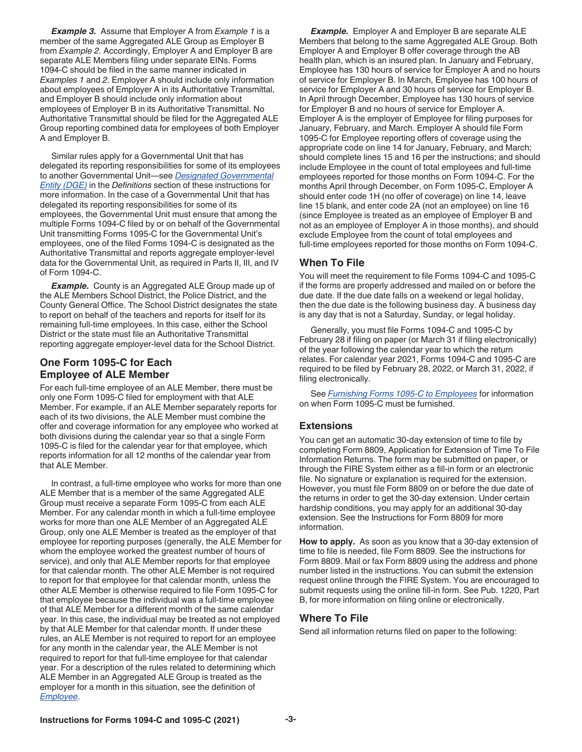<span id="page-2-0"></span>*Example 3.* Assume that Employer A from *Example 1* is a member of the same Aggregated ALE Group as Employer B from *Example 2*. Accordingly, Employer A and Employer B are separate ALE Members filing under separate EINs. Forms 1094-C should be filed in the same manner indicated in *Examples 1* and *2*. Employer A should include only information about employees of Employer A in its Authoritative Transmittal, and Employer B should include only information about employees of Employer B in its Authoritative Transmittal. No Authoritative Transmittal should be filed for the Aggregated ALE Group reporting combined data for employees of both Employer A and Employer B.

Similar rules apply for a Governmental Unit that has delegated its reporting responsibilities for some of its employees to another Governmental Unit—see *[Designated Governmental](#page-14-0)  [Entity \(DGE\)](#page-14-0)* in the *Definitions* section of these instructions for more information. In the case of a Governmental Unit that has delegated its reporting responsibilities for some of its employees, the Governmental Unit must ensure that among the multiple Forms 1094-C filed by or on behalf of the Governmental Unit transmitting Forms 1095-C for the Governmental Unit's employees, one of the filed Forms 1094-C is designated as the Authoritative Transmittal and reports aggregate employer-level data for the Governmental Unit, as required in Parts II, III, and IV of Form 1094-C.

*Example.* County is an Aggregated ALE Group made up of the ALE Members School District, the Police District, and the County General Office. The School District designates the state to report on behalf of the teachers and reports for itself for its remaining full-time employees. In this case, either the School District or the state must file an Authoritative Transmittal reporting aggregate employer-level data for the School District.

#### **One Form 1095-C for Each Employee of ALE Member**

For each full-time employee of an ALE Member, there must be only one Form 1095-C filed for employment with that ALE Member. For example, if an ALE Member separately reports for each of its two divisions, the ALE Member must combine the offer and coverage information for any employee who worked at both divisions during the calendar year so that a single Form 1095-C is filed for the calendar year for that employee, which reports information for all 12 months of the calendar year from that ALE Member.

In contrast, a full-time employee who works for more than one ALE Member that is a member of the same Aggregated ALE Group must receive a separate Form 1095-C from each ALE Member. For any calendar month in which a full-time employee works for more than one ALE Member of an Aggregated ALE Group, only one ALE Member is treated as the employer of that employee for reporting purposes (generally, the ALE Member for whom the employee worked the greatest number of hours of service), and only that ALE Member reports for that employee for that calendar month. The other ALE Member is not required to report for that employee for that calendar month, unless the other ALE Member is otherwise required to file Form 1095-C for that employee because the individual was a full-time employee of that ALE Member for a different month of the same calendar year. In this case, the individual may be treated as not employed by that ALE Member for that calendar month. If under these rules, an ALE Member is not required to report for an employee for any month in the calendar year, the ALE Member is not required to report for that full-time employee for that calendar year. For a description of the rules related to determining which ALE Member in an Aggregated ALE Group is treated as the employer for a month in this situation, see the definition of *[Employee](#page-14-0)*.

*Example.* Employer A and Employer B are separate ALE Members that belong to the same Aggregated ALE Group. Both Employer A and Employer B offer coverage through the AB health plan, which is an insured plan. In January and February, Employee has 130 hours of service for Employer A and no hours of service for Employer B. In March, Employee has 100 hours of service for Employer A and 30 hours of service for Employer B. In April through December, Employee has 130 hours of service for Employer B and no hours of service for Employer A. Employer A is the employer of Employee for filing purposes for January, February, and March. Employer A should file Form 1095-C for Employee reporting offers of coverage using the appropriate code on line 14 for January, February, and March; should complete lines 15 and 16 per the instructions; and should include Employee in the count of total employees and full-time employees reported for those months on Form 1094-C. For the months April through December, on Form 1095-C, Employer A should enter code 1H (no offer of coverage) on line 14, leave line 15 blank, and enter code 2A (not an employee) on line 16 (since Employee is treated as an employee of Employer B and not as an employee of Employer A in those months), and should exclude Employee from the count of total employees and full-time employees reported for those months on Form 1094-C.

#### **When To File**

You will meet the requirement to file Forms 1094-C and 1095-C if the forms are properly addressed and mailed on or before the due date. If the due date falls on a weekend or legal holiday, then the due date is the following business day. A business day is any day that is not a Saturday, Sunday, or legal holiday.

Generally, you must file Forms 1094-C and 1095-C by February 28 if filing on paper (or March 31 if filing electronically) of the year following the calendar year to which the return relates. For calendar year 2021, Forms 1094-C and 1095-C are required to be filed by February 28, 2022, or March 31, 2022, if filing electronically.

See *[Furnishing Forms 1095-C to Employees](#page-5-0)* for information on when Form 1095-C must be furnished.

#### **Extensions**

You can get an automatic 30-day extension of time to file by completing Form 8809, Application for Extension of Time To File Information Returns. The form may be submitted on paper, or through the FIRE System either as a fill-in form or an electronic file. No signature or explanation is required for the extension. However, you must file Form 8809 on or before the due date of the returns in order to get the 30-day extension. Under certain hardship conditions, you may apply for an additional 30-day extension. See the Instructions for Form 8809 for more information.

**How to apply.** As soon as you know that a 30-day extension of time to file is needed, file Form 8809. See the instructions for Form 8809. Mail or fax Form 8809 using the address and phone number listed in the instructions. You can submit the extension request online through the FIRE System. You are encouraged to submit requests using the online fill-in form. See Pub. 1220, Part B, for more information on filing online or electronically.

#### **Where To File**

Send all information returns filed on paper to the following: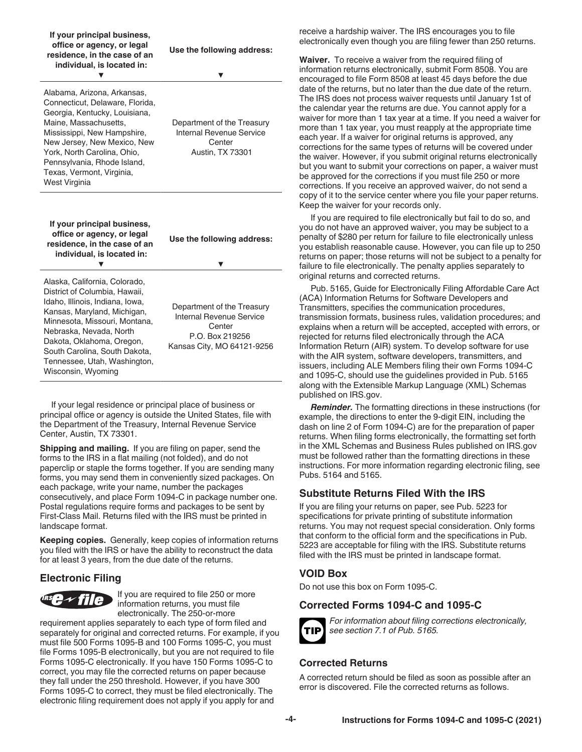| If your principal business,<br>office or agency, or legal<br>residence, in the case of an<br>individual, is located in:                                                                                                                                                                                   | Use the following address:                                                                                                                                                                                                                 |  |
|-----------------------------------------------------------------------------------------------------------------------------------------------------------------------------------------------------------------------------------------------------------------------------------------------------------|--------------------------------------------------------------------------------------------------------------------------------------------------------------------------------------------------------------------------------------------|--|
| Alabama, Arizona, Arkansas,<br>Connecticut, Delaware, Florida,<br>Georgia, Kentucky, Louisiana,<br>Maine, Massachusetts,<br>Mississippi, New Hampshire,<br>New Jersey, New Mexico, New<br>York, North Carolina, Ohio,<br>Pennsylvania, Rhode Island,<br>Texas, Vermont, Virginia,<br><b>West Virginia</b> | Department of the Treasury<br><b>Internal Revenue Service</b><br>Center<br><b>Austin, TX 73301</b>                                                                                                                                         |  |
| If your principal business,<br>office or agency, or legal<br>residence, in the case of an<br>individual, is located in:                                                                                                                                                                                   | Use the following address:                                                                                                                                                                                                                 |  |
| Alaska, California, Colorado,<br>District of Columbia, Hawaii,<br>Idaho, Illinois, Indiana, Iowa,<br>Kansas, Maryland, Michigan,<br>Minnesota, Missouri, Montana,                                                                                                                                         | Department of the Treasury<br>Internal Revenue Service<br>Center<br>Nebraska, Nevada, North<br>P.O. Box 219256<br>Dakota, Oklahoma, Oregon,<br>Kansas City, MO 64121-9256<br>South Carolina, South Dakota,<br>Tennessee, Utah, Washington, |  |

If your legal residence or principal place of business or principal office or agency is outside the United States, file with the Department of the Treasury, Internal Revenue Service Center, Austin, TX 73301.

**Shipping and mailing.** If you are filing on paper, send the forms to the IRS in a flat mailing (not folded), and do not paperclip or staple the forms together. If you are sending many forms, you may send them in conveniently sized packages. On each package, write your name, number the packages consecutively, and place Form 1094-C in package number one. Postal regulations require forms and packages to be sent by First-Class Mail. Returns filed with the IRS must be printed in landscape format.

**Keeping copies.** Generally, keep copies of information returns you filed with the IRS or have the ability to reconstruct the data for at least 3 years, from the due date of the returns.

#### **Electronic Filing**



If you are required to file 250 or more information returns, you must file electronically. The 250-or-more

requirement applies separately to each type of form filed and separately for original and corrected returns. For example, if you must file 500 Forms 1095-B and 100 Forms 1095-C, you must file Forms 1095-B electronically, but you are not required to file Forms 1095-C electronically. If you have 150 Forms 1095-C to correct, you may file the corrected returns on paper because they fall under the 250 threshold. However, if you have 300 Forms 1095-C to correct, they must be filed electronically. The electronic filing requirement does not apply if you apply for and

receive a hardship waiver. The IRS encourages you to file electronically even though you are filing fewer than 250 returns.

**Waiver.** To receive a waiver from the required filing of information returns electronically, submit Form 8508. You are encouraged to file Form 8508 at least 45 days before the due date of the returns, but no later than the due date of the return. The IRS does not process waiver requests until January 1st of the calendar year the returns are due. You cannot apply for a waiver for more than 1 tax year at a time. If you need a waiver for more than 1 tax year, you must reapply at the appropriate time each year. If a waiver for original returns is approved, any corrections for the same types of returns will be covered under the waiver. However, if you submit original returns electronically but you want to submit your corrections on paper, a waiver must be approved for the corrections if you must file 250 or more corrections. If you receive an approved waiver, do not send a copy of it to the service center where you file your paper returns. Keep the waiver for your records only.

If you are required to file electronically but fail to do so, and you do not have an approved waiver, you may be subject to a penalty of \$280 per return for failure to file electronically unless you establish reasonable cause. However, you can file up to 250 returns on paper; those returns will not be subject to a penalty for failure to file electronically. The penalty applies separately to original returns and corrected returns.

Pub. 5165, Guide for Electronically Filing Affordable Care Act (ACA) Information Returns for Software Developers and Transmitters, specifies the communication procedures, transmission formats, business rules, validation procedures; and explains when a return will be accepted, accepted with errors, or rejected for returns filed electronically through the ACA Information Return (AIR) system. To develop software for use with the AIR system, software developers, transmitters, and issuers, including ALE Members filing their own Forms 1094-C and 1095-C, should use the guidelines provided in Pub. 5165 along with the Extensible Markup Language (XML) Schemas published on IRS.gov.

*Reminder.* The formatting directions in these instructions (for example, the directions to enter the 9-digit EIN, including the dash on line 2 of Form 1094-C) are for the preparation of paper returns. When filing forms electronically, the formatting set forth in the XML Schemas and Business Rules published on IRS.gov must be followed rather than the formatting directions in these instructions. For more information regarding electronic filing, see Pubs. 5164 and 5165.

#### **Substitute Returns Filed With the IRS**

If you are filing your returns on paper, see Pub. 5223 for specifications for private printing of substitute information returns. You may not request special consideration. Only forms that conform to the official form and the specifications in Pub. 5223 are acceptable for filing with the IRS. Substitute returns filed with the IRS must be printed in landscape format.

#### **VOID Box**

Do not use this box on Form 1095-C.

#### **Corrected Forms 1094-C and 1095-C**



*For information about filing corrections electronically, see section 7.1 of Pub. 5165.*

#### **Corrected Returns**

A corrected return should be filed as soon as possible after an error is discovered. File the corrected returns as follows.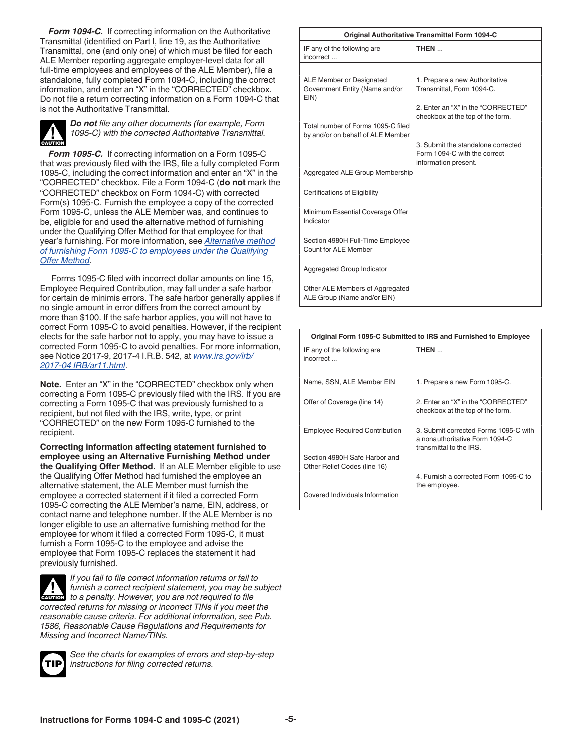*Form 1094-C.* If correcting information on the Authoritative Transmittal (identified on Part I, line 19, as the Authoritative Transmittal, one (and only one) of which must be filed for each ALE Member reporting aggregate employer-level data for all full-time employees and employees of the ALE Member), file a standalone, fully completed Form 1094-C, including the correct information, and enter an "X" in the "CORRECTED" checkbox. Do not file a return correcting information on a Form 1094-C that is not the Authoritative Transmittal.



*Do not file any other documents (for example, Form 1095-C) with the corrected Authoritative Transmittal.*

*Form 1095-C.* If correcting information on a Form 1095-C that was previously filed with the IRS, file a fully completed Form 1095-C, including the correct information and enter an "X" in the "CORRECTED" checkbox. File a Form 1094-C (**do not** mark the "CORRECTED" checkbox on Form 1094-C) with corrected Form(s) 1095-C. Furnish the employee a copy of the corrected Form 1095-C, unless the ALE Member was, and continues to be, eligible for and used the alternative method of furnishing under the Qualifying Offer Method for that employee for that year's furnishing. For more information, see *[Alternative method](#page-7-0)  [of furnishing Form 1095-C to employees under the Qualifying](#page-7-0) [Offer Method](#page-7-0)*.

Forms 1095-C filed with incorrect dollar amounts on line 15, Employee Required Contribution, may fall under a safe harbor for certain de minimis errors. The safe harbor generally applies if no single amount in error differs from the correct amount by more than \$100. If the safe harbor applies, you will not have to correct Form 1095-C to avoid penalties. However, if the recipient elects for the safe harbor not to apply, you may have to issue a corrected Form 1095-C to avoid penalties. For more information, see Notice 2017-9, 2017-4 I.R.B. 542, at *[www.irs.gov/irb/](https://www.irs.gov/irb/2017-04_IRB#NOT-2017-09) [2017-04 IRB/ar11.html](https://www.irs.gov/irb/2017-04_IRB#NOT-2017-09)*.

**Note.** Enter an "X" in the "CORRECTED" checkbox only when correcting a Form 1095-C previously filed with the IRS. If you are correcting a Form 1095-C that was previously furnished to a recipient, but not filed with the IRS, write, type, or print "CORRECTED" on the new Form 1095-C furnished to the recipient.

**Correcting information affecting statement furnished to employee using an Alternative Furnishing Method under the Qualifying Offer Method.** If an ALE Member eligible to use the Qualifying Offer Method had furnished the employee an alternative statement, the ALE Member must furnish the employee a corrected statement if it filed a corrected Form 1095-C correcting the ALE Member's name, EIN, address, or contact name and telephone number. If the ALE Member is no longer eligible to use an alternative furnishing method for the employee for whom it filed a corrected Form 1095-C, it must furnish a Form 1095-C to the employee and advise the employee that Form 1095-C replaces the statement it had previously furnished.

*If you fail to file correct information returns or fail to furnish a correct recipient statement, you may be subject*  **t** *turnish a correct recipient statement, you may be* **c c** *to a penalty. However, you are not required to file corrected returns for missing or incorrect TINs if you meet the reasonable cause criteria. For additional information, see Pub. 1586, Reasonable Cause Regulations and Requirements for Missing and Incorrect Name/TINs.*



*See the charts for examples of errors and step-by-step instructions for filing corrected returns.*

| <b>Original Authoritative Transmittal Form 1094-C</b>                   |                                                                                            |  |  |  |
|-------------------------------------------------------------------------|--------------------------------------------------------------------------------------------|--|--|--|
| <b>IF</b> any of the following are<br>incorrect                         | THEN                                                                                       |  |  |  |
|                                                                         |                                                                                            |  |  |  |
| ALE Member or Designated<br>Government Entity (Name and/or<br>EIN)      | 1. Prepare a new Authoritative<br>Transmittal, Form 1094-C.                                |  |  |  |
|                                                                         | 2. Enter an "X" in the "CORRECTED"                                                         |  |  |  |
| Total number of Forms 1095-C filed<br>by and/or on behalf of ALE Member | checkbox at the top of the form.                                                           |  |  |  |
|                                                                         | 3. Submit the standalone corrected<br>Form 1094-C with the correct<br>information present. |  |  |  |
| Aggregated ALE Group Membership                                         |                                                                                            |  |  |  |
| <b>Certifications of Eligibility</b>                                    |                                                                                            |  |  |  |
| Minimum Essential Coverage Offer<br>Indicator                           |                                                                                            |  |  |  |
| Section 4980H Full-Time Employee<br>Count for ALE Member                |                                                                                            |  |  |  |
| Aggregated Group Indicator                                              |                                                                                            |  |  |  |
| Other ALE Members of Aggregated<br>ALE Group (Name and/or EIN)          |                                                                                            |  |  |  |

| Original Form 1095-C Submitted to IRS and Furnished to Employee |                                                                                                    |  |
|-----------------------------------------------------------------|----------------------------------------------------------------------------------------------------|--|
| <b>IF</b> any of the following are<br>incorrect                 | THEN                                                                                               |  |
|                                                                 |                                                                                                    |  |
| Name, SSN, ALE Member EIN                                       | 1. Prepare a new Form 1095-C.                                                                      |  |
| Offer of Coverage (line 14)                                     | 2. Enter an "X" in the "CORRECTED"<br>checkbox at the top of the form.                             |  |
| <b>Employee Required Contribution</b>                           | 3. Submit corrected Forms 1095-C with<br>a nonauthoritative Form 1094-C<br>transmittal to the IRS. |  |
| Section 4980H Safe Harbor and<br>Other Relief Codes (line 16)   |                                                                                                    |  |
|                                                                 | 4. Furnish a corrected Form 1095-C to<br>the employee.                                             |  |
| Covered Individuals Information                                 |                                                                                                    |  |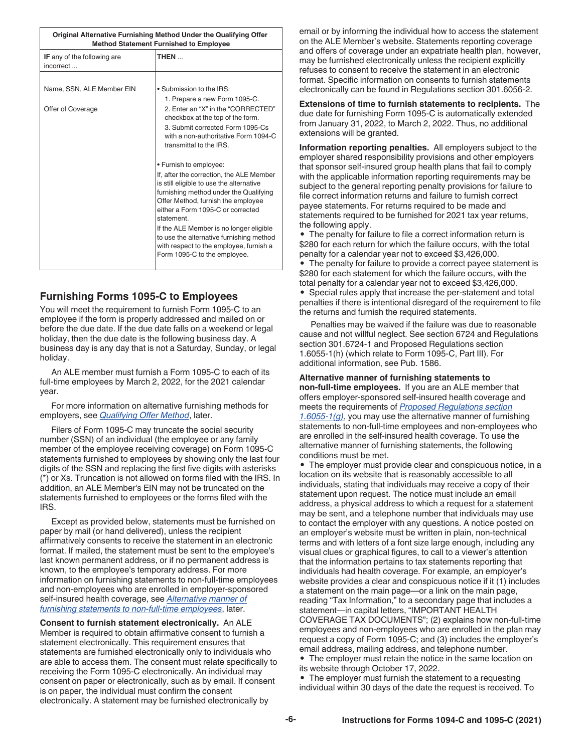<span id="page-5-0"></span>

| Original Alternative Furnishing Method Under the Qualifying Offer<br><b>Method Statement Furnished to Employee</b> |                                                                                      |  |
|--------------------------------------------------------------------------------------------------------------------|--------------------------------------------------------------------------------------|--|
| IF any of the following are<br>incorrect                                                                           | THEN                                                                                 |  |
|                                                                                                                    |                                                                                      |  |
| Name, SSN, ALE Member EIN                                                                                          | . Submission to the IRS:                                                             |  |
|                                                                                                                    | 1. Prepare a new Form 1095-C.                                                        |  |
| Offer of Coverage                                                                                                  | 2. Enter an "X" in the "CORRECTED"<br>checkbox at the top of the form.               |  |
|                                                                                                                    | 3. Submit corrected Form 1095-Cs<br>with a non-authoritative Form 1094-C             |  |
|                                                                                                                    | transmittal to the IRS.                                                              |  |
|                                                                                                                    | • Furnish to employee:                                                               |  |
|                                                                                                                    | If, after the correction, the ALE Member<br>is still eligible to use the alternative |  |
|                                                                                                                    | furnishing method under the Qualifying                                               |  |
|                                                                                                                    | Offer Method, furnish the employee                                                   |  |
|                                                                                                                    | either a Form 1095-C or corrected<br>statement.                                      |  |
|                                                                                                                    |                                                                                      |  |
|                                                                                                                    | If the ALE Member is no longer eligible<br>to use the alternative furnishing method  |  |
|                                                                                                                    | with respect to the employee, furnish a                                              |  |
|                                                                                                                    | Form 1095-C to the employee.                                                         |  |
|                                                                                                                    |                                                                                      |  |

#### **Furnishing Forms 1095-C to Employees**

You will meet the requirement to furnish Form 1095-C to an employee if the form is properly addressed and mailed on or before the due date. If the due date falls on a weekend or legal holiday, then the due date is the following business day. A business day is any day that is not a Saturday, Sunday, or legal holiday.

An ALE member must furnish a Form 1095-C to each of its full-time employees by March 2, 2022, for the 2021 calendar year.

For more information on alternative furnishing methods for employers, see *[Qualifying Offer Method](#page-6-0)*, later.

Filers of Form 1095-C may truncate the social security number (SSN) of an individual (the employee or any family member of the employee receiving coverage) on Form 1095-C statements furnished to employees by showing only the last four digits of the SSN and replacing the first five digits with asterisks (\*) or Xs. Truncation is not allowed on forms filed with the IRS. In addition, an ALE Member's EIN may not be truncated on the statements furnished to employees or the forms filed with the IRS.

Except as provided below, statements must be furnished on paper by mail (or hand delivered), unless the recipient affirmatively consents to receive the statement in an electronic format. If mailed, the statement must be sent to the employee's last known permanent address, or if no permanent address is known, to the employee's temporary address. For more information on furnishing statements to non-full-time employees and non-employees who are enrolled in employer-sponsored self-insured health coverage, see *Alternative manner of furnishing statements to non-full-time employees*, later.

**Consent to furnish statement electronically.** An ALE Member is required to obtain affirmative consent to furnish a statement electronically. This requirement ensures that statements are furnished electronically only to individuals who are able to access them. The consent must relate specifically to receiving the Form 1095-C electronically. An individual may consent on paper or electronically, such as by email. If consent is on paper, the individual must confirm the consent electronically. A statement may be furnished electronically by

email or by informing the individual how to access the statement on the ALE Member's website. Statements reporting coverage and offers of coverage under an expatriate health plan, however, may be furnished electronically unless the recipient explicitly refuses to consent to receive the statement in an electronic format. Specific information on consents to furnish statements electronically can be found in Regulations section 301.6056-2.

**Extensions of time to furnish statements to recipients.** The due date for furnishing Form 1095-C is automatically extended from January 31, 2022, to March 2, 2022. Thus, no additional extensions will be granted.

**Information reporting penalties.** All employers subject to the employer shared responsibility provisions and other employers that sponsor self-insured group health plans that fail to comply with the applicable information reporting requirements may be subject to the general reporting penalty provisions for failure to file correct information returns and failure to furnish correct payee statements. For returns required to be made and statements required to be furnished for 2021 tax year returns, the following apply.

• The penalty for failure to file a correct information return is \$280 for each return for which the failure occurs, with the total penalty for a calendar year not to exceed \$3,426,000. • The penalty for failure to provide a correct payee statement is \$280 for each statement for which the failure occurs, with the total penalty for a calendar year not to exceed \$3,426,000. • Special rules apply that increase the per-statement and total penalties if there is intentional disregard of the requirement to file

Penalties may be waived if the failure was due to reasonable cause and not willful neglect. See section 6724 and Regulations section 301.6724-1 and Proposed Regulations section 1.6055-1(h) (which relate to Form 1095-C, Part III). For additional information, see Pub. 1586.

#### **Alternative manner of furnishing statements to**

the returns and furnish the required statements.

**non-full-time employees.** If you are an ALE member that offers employer-sponsored self-insured health coverage and meets the requirements of *[Proposed Regulations section](https://www.federalregister.gov/documents/2021/12/06/2021-25785/information-reporting-of-health-insurance-coverage-and-other-issues) [1.6055-1\(g\)](https://www.federalregister.gov/documents/2021/12/06/2021-25785/information-reporting-of-health-insurance-coverage-and-other-issues)*, you may use the alternative manner of furnishing statements to non-full-time employees and non-employees who are enrolled in the self-insured health coverage. To use the alternative manner of furnishing statements, the following conditions must be met.

• The employer must provide clear and conspicuous notice, in a location on its website that is reasonably accessible to all individuals, stating that individuals may receive a copy of their statement upon request. The notice must include an email address, a physical address to which a request for a statement may be sent, and a telephone number that individuals may use to contact the employer with any questions. A notice posted on an employer's website must be written in plain, non-technical terms and with letters of a font size large enough, including any visual clues or graphical figures, to call to a viewer's attention that the information pertains to tax statements reporting that individuals had health coverage. For example, an employer's website provides a clear and conspicuous notice if it (1) includes a statement on the main page—or a link on the main page, reading "Tax Information," to a secondary page that includes a statement—in capital letters, "IMPORTANT HEALTH COVERAGE TAX DOCUMENTS"; (2) explains how non-full-time employees and non-employees who are enrolled in the plan may request a copy of Form 1095-C; and (3) includes the employer's email address, mailing address, and telephone number. • The employer must retain the notice in the same location on

its website through October 17, 2022.

• The employer must furnish the statement to a requesting individual within 30 days of the date the request is received. To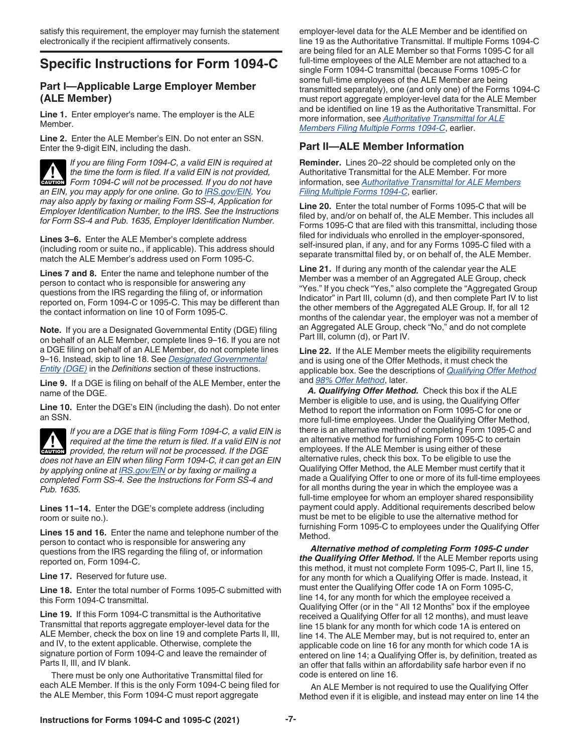## <span id="page-6-0"></span>**Specific Instructions for Form 1094-C**

#### **Part I—Applicable Large Employer Member (ALE Member)**

**Line 1.** Enter employer's name. The employer is the ALE Member.

**Line 2.** Enter the ALE Member's EIN. Do not enter an SSN. Enter the 9-digit EIN, including the dash.

*If you are filing Form 1094-C, a valid EIN is required at the time the form is filed. If a valid EIN is not provided,*  **Form 1094-C will not be processed. If you do not have Form 1094-C will not be processed. If you do not have** *an EIN, you may apply for one online. Go to [IRS.gov/EIN](https://www.irs.gov/ein). You may also apply by faxing or mailing Form SS-4, Application for Employer Identification Number, to the IRS. See the Instructions for Form SS-4 and Pub. 1635, Employer Identification Number.*

**Lines 3–6.** Enter the ALE Member's complete address (including room or suite no., if applicable). This address should match the ALE Member's address used on Form 1095-C.

**Lines 7 and 8.** Enter the name and telephone number of the person to contact who is responsible for answering any questions from the IRS regarding the filing of, or information reported on, Form 1094-C or 1095-C. This may be different than the contact information on line 10 of Form 1095-C.

**Note.** If you are a Designated Governmental Entity (DGE) filing on behalf of an ALE Member, complete lines 9–16. If you are not a DGE filing on behalf of an ALE Member, do not complete lines 9–16. Instead, skip to line 18. See *[Designated Governmental](#page-14-0) [Entity \(DGE\)](#page-14-0)* in the *Definitions* section of these instructions.

**Line 9.** If a DGE is filing on behalf of the ALE Member, enter the name of the DGE.

**Line 10.** Enter the DGE's EIN (including the dash). Do not enter an SSN.

*If you are a DGE that is filing Form 1094-C, a valid EIN is required at the time the return is filed. If a valid EIN is not provided, the return will not be processed. If the DGE does not have an EIN when filing Form 1094-C, it can get an EIN by applying online at [IRS.gov/EIN](https://www.irs.gov/ein) or by faxing or mailing a completed Form SS-4. See the Instructions for Form SS-4 and Pub. 1635.* **CAUTION !**

**Lines 11–14.** Enter the DGE's complete address (including room or suite no.).

**Lines 15 and 16.** Enter the name and telephone number of the person to contact who is responsible for answering any questions from the IRS regarding the filing of, or information reported on, Form 1094-C.

Line 17. Reserved for future use.

**Line 18.** Enter the total number of Forms 1095-C submitted with this Form 1094-C transmittal.

**Line 19.** If this Form 1094-C transmittal is the Authoritative Transmittal that reports aggregate employer-level data for the ALE Member, check the box on line 19 and complete Parts II, III, and IV, to the extent applicable. Otherwise, complete the signature portion of Form 1094-C and leave the remainder of Parts II, III, and IV blank.

There must be only one Authoritative Transmittal filed for each ALE Member. If this is the only Form 1094-C being filed for the ALE Member, this Form 1094-C must report aggregate

employer-level data for the ALE Member and be identified on line 19 as the Authoritative Transmittal. If multiple Forms 1094-C are being filed for an ALE Member so that Forms 1095-C for all full-time employees of the ALE Member are not attached to a single Form 1094-C transmittal (because Forms 1095-C for some full-time employees of the ALE Member are being transmitted separately), one (and only one) of the Forms 1094-C must report aggregate employer-level data for the ALE Member and be identified on line 19 as the Authoritative Transmittal. For more information, see *[Authoritative Transmittal for ALE](#page-1-0)  [Members Filing Multiple Forms 1094-C](#page-1-0)*, earlier.

#### **Part II—ALE Member Information**

**Reminder.** Lines 20–22 should be completed only on the Authoritative Transmittal for the ALE Member. For more information, see *[Authoritative Transmittal for ALE Members](#page-1-0) [Filing Multiple Forms 1094-C](#page-1-0)*, earlier.

**Line 20.** Enter the total number of Forms 1095-C that will be filed by, and/or on behalf of, the ALE Member. This includes all Forms 1095-C that are filed with this transmittal, including those filed for individuals who enrolled in the employer-sponsored, self-insured plan, if any, and for any Forms 1095-C filed with a separate transmittal filed by, or on behalf of, the ALE Member.

**Line 21.** If during any month of the calendar year the ALE Member was a member of an Aggregated ALE Group, check "Yes." If you check "Yes," also complete the "Aggregated Group Indicator" in Part III, column (d), and then complete Part IV to list the other members of the Aggregated ALE Group. If, for all 12 months of the calendar year, the employer was not a member of an Aggregated ALE Group, check "No," and do not complete Part III, column (d), or Part IV.

**Line 22.** If the ALE Member meets the eligibility requirements and is using one of the Offer Methods, it must check the applicable box. See the descriptions of *Qualifying Offer Method*  and *[98% Offer Method](#page-7-0)*, later.

*A. Qualifying Offer Method.* Check this box if the ALE Member is eligible to use, and is using, the Qualifying Offer Method to report the information on Form 1095-C for one or more full-time employees. Under the Qualifying Offer Method, there is an alternative method of completing Form 1095-C and an alternative method for furnishing Form 1095-C to certain employees. If the ALE Member is using either of these alternative rules, check this box. To be eligible to use the Qualifying Offer Method, the ALE Member must certify that it made a Qualifying Offer to one or more of its full-time employees for all months during the year in which the employee was a full-time employee for whom an employer shared responsibility payment could apply. Additional requirements described below must be met to be eligible to use the alternative method for furnishing Form 1095-C to employees under the Qualifying Offer Method.

*Alternative method of completing Form 1095-C under the Qualifying Offer Method.* If the ALE Member reports using this method, it must not complete Form 1095-C, Part II, line 15, for any month for which a Qualifying Offer is made. Instead, it must enter the Qualifying Offer code 1A on Form 1095-C, line 14, for any month for which the employee received a Qualifying Offer (or in the " All 12 Months" box if the employee received a Qualifying Offer for all 12 months), and must leave line 15 blank for any month for which code 1A is entered on line 14. The ALE Member may, but is not required to, enter an applicable code on line 16 for any month for which code 1A is entered on line 14; a Qualifying Offer is, by definition, treated as an offer that falls within an affordability safe harbor even if no code is entered on line 16.

An ALE Member is not required to use the Qualifying Offer Method even if it is eligible, and instead may enter on line 14 the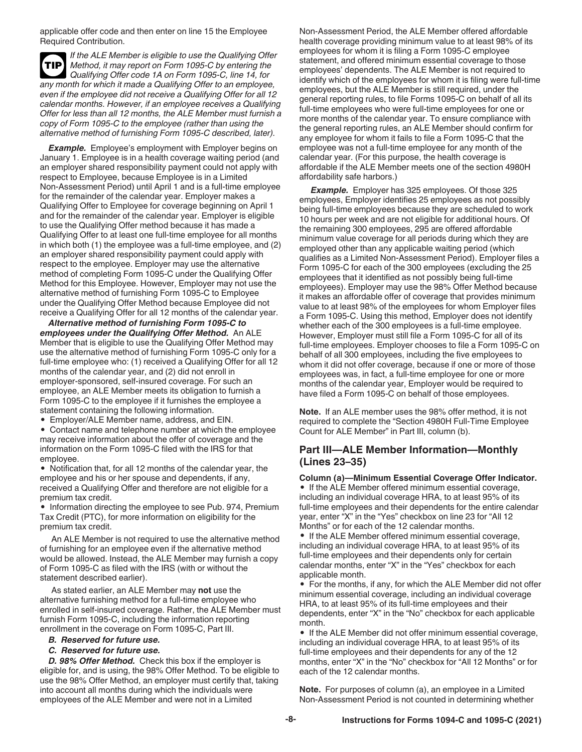<span id="page-7-0"></span>applicable offer code and then enter on line 15 the Employee Required Contribution.

*If the ALE Member is eligible to use the Qualifying Offer Method, it may report on Form 1095-C by entering the Qualifying Offer code 1A on Form 1095-C, line 14, for any month for which it made a Qualifying Offer to an employee, even if the employee did not receive a Qualifying Offer for all 12 calendar months. However, if an employee receives a Qualifying Offer for less than all 12 months, the ALE Member must furnish a copy of Form 1095-C to the employee (rather than using the alternative method of furnishing Form 1095-C described, later).* **TIP**

**Example.** Employee's employment with Employer begins on January 1. Employee is in a health coverage waiting period (and an employer shared responsibility payment could not apply with respect to Employee, because Employee is in a Limited Non-Assessment Period) until April 1 and is a full-time employee for the remainder of the calendar year. Employer makes a Qualifying Offer to Employee for coverage beginning on April 1 and for the remainder of the calendar year. Employer is eligible to use the Qualifying Offer method because it has made a Qualifying Offer to at least one full-time employee for all months in which both (1) the employee was a full-time employee, and (2) an employer shared responsibility payment could apply with respect to the employee. Employer may use the alternative method of completing Form 1095-C under the Qualifying Offer Method for this Employee. However, Employer may not use the alternative method of furnishing Form 1095-C to Employee under the Qualifying Offer Method because Employee did not receive a Qualifying Offer for all 12 months of the calendar year.

*Alternative method of furnishing Form 1095-C to employees under the Qualifying Offer Method.* An ALE Member that is eligible to use the Qualifying Offer Method may use the alternative method of furnishing Form 1095-C only for a full-time employee who: (1) received a Qualifying Offer for all 12 months of the calendar year, and (2) did not enroll in employer-sponsored, self-insured coverage. For such an employee, an ALE Member meets its obligation to furnish a Form 1095-C to the employee if it furnishes the employee a statement containing the following information.

• Employer/ALE Member name, address, and EIN.

• Contact name and telephone number at which the employee may receive information about the offer of coverage and the information on the Form 1095-C filed with the IRS for that employee.

• Notification that, for all 12 months of the calendar year, the employee and his or her spouse and dependents, if any, received a Qualifying Offer and therefore are not eligible for a premium tax credit.

• Information directing the employee to see Pub. 974, Premium Tax Credit (PTC), for more information on eligibility for the premium tax credit.

An ALE Member is not required to use the alternative method of furnishing for an employee even if the alternative method would be allowed. Instead, the ALE Member may furnish a copy of Form 1095-C as filed with the IRS (with or without the statement described earlier).

As stated earlier, an ALE Member may **not** use the alternative furnishing method for a full-time employee who enrolled in self-insured coverage. Rather, the ALE Member must furnish Form 1095-C, including the information reporting enrollment in the coverage on Form 1095-C, Part III.

- *B. Reserved for future use.*
- *C. Reserved for future use.*

*D. 98% Offer Method.* Check this box if the employer is eligible for, and is using, the 98% Offer Method. To be eligible to use the 98% Offer Method, an employer must certify that, taking into account all months during which the individuals were employees of the ALE Member and were not in a Limited

Non-Assessment Period, the ALE Member offered affordable health coverage providing minimum value to at least 98% of its employees for whom it is filing a Form 1095-C employee statement, and offered minimum essential coverage to those employees' dependents. The ALE Member is not required to identify which of the employees for whom it is filing were full-time employees, but the ALE Member is still required, under the general reporting rules, to file Forms 1095-C on behalf of all its full-time employees who were full-time employees for one or more months of the calendar year. To ensure compliance with the general reporting rules, an ALE Member should confirm for any employee for whom it fails to file a Form 1095-C that the employee was not a full-time employee for any month of the calendar year. (For this purpose, the health coverage is affordable if the ALE Member meets one of the section 4980H affordability safe harbors.)

*Example.* Employer has 325 employees. Of those 325 employees, Employer identifies 25 employees as not possibly being full-time employees because they are scheduled to work 10 hours per week and are not eligible for additional hours. Of the remaining 300 employees, 295 are offered affordable minimum value coverage for all periods during which they are employed other than any applicable waiting period (which qualifies as a Limited Non-Assessment Period). Employer files a Form 1095-C for each of the 300 employees (excluding the 25 employees that it identified as not possibly being full-time employees). Employer may use the 98% Offer Method because it makes an affordable offer of coverage that provides minimum value to at least 98% of the employees for whom Employer files a Form 1095-C. Using this method, Employer does not identify whether each of the 300 employees is a full-time employee. However, Employer must still file a Form 1095-C for all of its full-time employees. Employer chooses to file a Form 1095-C on behalf of all 300 employees, including the five employees to whom it did not offer coverage, because if one or more of those employees was, in fact, a full-time employee for one or more months of the calendar year, Employer would be required to have filed a Form 1095-C on behalf of those employees.

**Note.** If an ALE member uses the 98% offer method, it is not required to complete the "Section 4980H Full-Time Employee Count for ALE Member" in Part III, column (b).

#### **Part III—ALE Member Information—Monthly (Lines 23–35)**

**Column (a)—Minimum Essential Coverage Offer Indicator.**  • If the ALE Member offered minimum essential coverage, including an individual coverage HRA, to at least 95% of its full-time employees and their dependents for the entire calendar year, enter "X" in the "Yes" checkbox on line 23 for "All 12

Months" or for each of the 12 calendar months. • If the ALE Member offered minimum essential coverage, including an individual coverage HRA, to at least 95% of its full-time employees and their dependents only for certain calendar months, enter "X" in the "Yes" checkbox for each applicable month.

• For the months, if any, for which the ALE Member did not offer minimum essential coverage, including an individual coverage HRA, to at least 95% of its full-time employees and their dependents, enter "X" in the "No" checkbox for each applicable month.

• If the ALE Member did not offer minimum essential coverage, including an individual coverage HRA, to at least 95% of its full-time employees and their dependents for any of the 12 months, enter "X" in the "No" checkbox for "All 12 Months" or for each of the 12 calendar months.

**Note.** For purposes of column (a), an employee in a Limited Non-Assessment Period is not counted in determining whether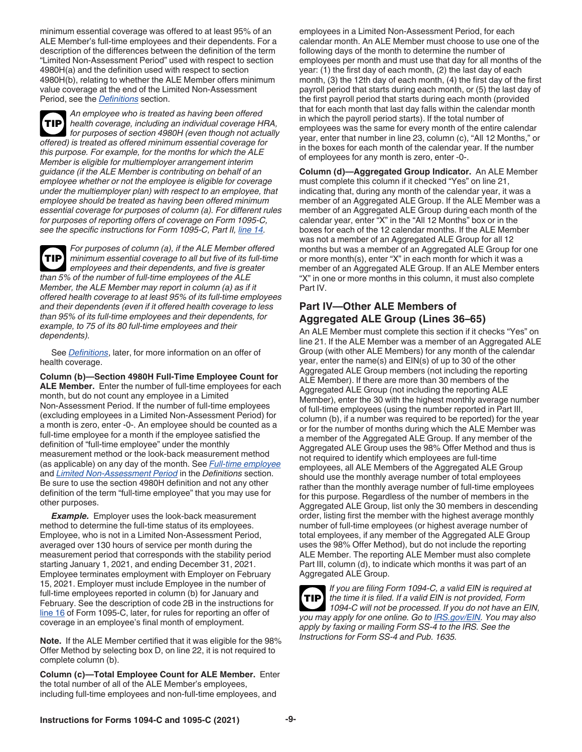minimum essential coverage was offered to at least 95% of an ALE Member's full-time employees and their dependents. For a description of the differences between the definition of the term "Limited Non-Assessment Period" used with respect to section 4980H(a) and the definition used with respect to section 4980H(b), relating to whether the ALE Member offers minimum value coverage at the end of the Limited Non-Assessment Period, see the *[Definitions](#page-13-0)* section.

*An employee who is treated as having been offered health coverage, including an individual coverage HRA, for purposes of section 4980H (even though not actually offered) is treated as offered minimum essential coverage for this purpose. For example, for the months for which the ALE Member is eligible for multiemployer arrangement interim guidance (if the ALE Member is contributing on behalf of an employee whether or not the employee is eligible for coverage under the multiemployer plan) with respect to an employee, that employee should be treated as having been offered minimum essential coverage for purposes of column (a). For different rules for purposes of reporting offers of coverage on Form 1095-C, see the specific instructions for Form 1095-C, Part II, [line 14.](#page-9-0)* **TIP**

*For purposes of column (a), if the ALE Member offered minimum essential coverage to all but five of its full-time employees and their dependents, and five is greater than 5% of the number of full-time employees of the ALE Member, the ALE Member may report in column (a) as if it offered health coverage to at least 95% of its full-time employees and their dependents (even if it offered health coverage to less than 95% of its full-time employees and their dependents, for example, to 75 of its 80 full-time employees and their dependents).* **TIP**

See *[Definitions](#page-13-0)*, later, for more information on an offer of health coverage.

**Column (b)—Section 4980H Full-Time Employee Count for ALE Member.** Enter the number of full-time employees for each month, but do not count any employee in a Limited Non-Assessment Period. If the number of full-time employees (excluding employees in a Limited Non-Assessment Period) for a month is zero, enter -0-. An employee should be counted as a full-time employee for a month if the employee satisfied the definition of "full-time employee" under the monthly measurement method or the look-back measurement method (as applicable) on any day of the month. See *[Full-time employee](#page-15-0)*  and *[Limited Non-Assessment Period](#page-16-0)* in the *Definitions* section. Be sure to use the section 4980H definition and not any other definition of the term "full-time employee" that you may use for other purposes.

*Example.* Employer uses the look-back measurement method to determine the full-time status of its employees. Employee, who is not in a Limited Non-Assessment Period, averaged over 130 hours of service per month during the measurement period that corresponds with the stability period starting January 1, 2021, and ending December 31, 2021. Employee terminates employment with Employer on February 15, 2021. Employer must include Employee in the number of full-time employees reported in column (b) for January and February. See the description of code 2B in the instructions for [line 16](#page-11-0) of Form 1095-C, later, for rules for reporting an offer of coverage in an employee's final month of employment.

**Note.** If the ALE Member certified that it was eligible for the 98% Offer Method by selecting box D, on line 22, it is not required to complete column (b).

**Column (c)—Total Employee Count for ALE Member.** Enter the total number of all of the ALE Member's employees, including full-time employees and non-full-time employees, and

employees in a Limited Non-Assessment Period, for each calendar month. An ALE Member must choose to use one of the following days of the month to determine the number of employees per month and must use that day for all months of the year: (1) the first day of each month, (2) the last day of each month, (3) the 12th day of each month, (4) the first day of the first payroll period that starts during each month, or (5) the last day of the first payroll period that starts during each month (provided that for each month that last day falls within the calendar month in which the payroll period starts). If the total number of employees was the same for every month of the entire calendar year, enter that number in line 23, column (c), "All 12 Months," or in the boxes for each month of the calendar year. If the number of employees for any month is zero, enter -0-.

**Column (d)—Aggregated Group Indicator.** An ALE Member must complete this column if it checked "Yes" on line 21, indicating that, during any month of the calendar year, it was a member of an Aggregated ALE Group. If the ALE Member was a member of an Aggregated ALE Group during each month of the calendar year, enter "X" in the "All 12 Months" box or in the boxes for each of the 12 calendar months. If the ALE Member was not a member of an Aggregated ALE Group for all 12 months but was a member of an Aggregated ALE Group for one or more month(s), enter "X" in each month for which it was a member of an Aggregated ALE Group. If an ALE Member enters "X" in one or more months in this column, it must also complete Part IV.

#### **Part IV—Other ALE Members of Aggregated ALE Group (Lines 36–65)**

An ALE Member must complete this section if it checks "Yes" on line 21. If the ALE Member was a member of an Aggregated ALE Group (with other ALE Members) for any month of the calendar year, enter the name(s) and EIN(s) of up to 30 of the other Aggregated ALE Group members (not including the reporting ALE Member). If there are more than 30 members of the Aggregated ALE Group (not including the reporting ALE Member), enter the 30 with the highest monthly average number of full-time employees (using the number reported in Part III, column (b), if a number was required to be reported) for the year or for the number of months during which the ALE Member was a member of the Aggregated ALE Group. If any member of the Aggregated ALE Group uses the 98% Offer Method and thus is not required to identify which employees are full-time employees, all ALE Members of the Aggregated ALE Group should use the monthly average number of total employees rather than the monthly average number of full-time employees for this purpose. Regardless of the number of members in the Aggregated ALE Group, list only the 30 members in descending order, listing first the member with the highest average monthly number of full-time employees (or highest average number of total employees, if any member of the Aggregated ALE Group uses the 98% Offer Method), but do not include the reporting ALE Member. The reporting ALE Member must also complete Part III, column (d), to indicate which months it was part of an Aggregated ALE Group.

*If you are filing Form 1094-C, a valid EIN is required at the time it is filed. If a valid EIN is not provided, Form 1094-C will not be processed. If you do not have an EIN, you may apply for one online. Go to [IRS.gov/EIN.](https://www.irs.gov/ein) You may also apply by faxing or mailing Form SS-4 to the IRS. See the Instructions for Form SS-4 and Pub. 1635.* **TIP**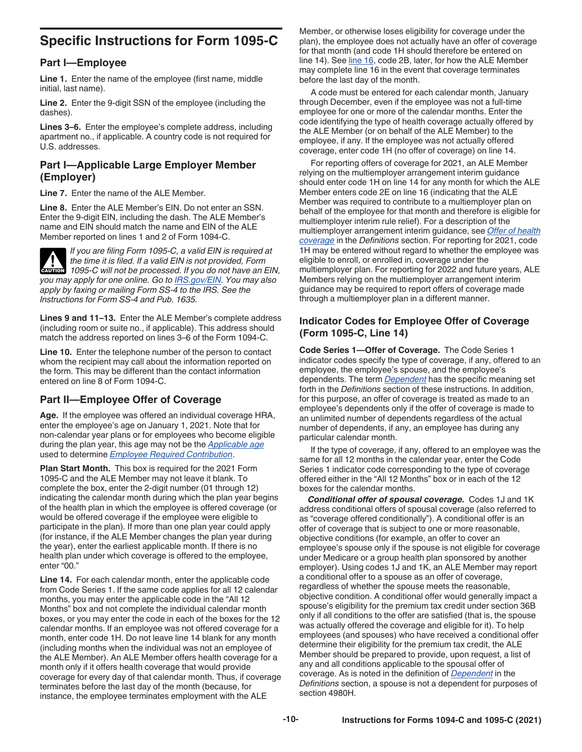## <span id="page-9-0"></span>**Specific Instructions for Form 1095-C**

#### **Part I—Employee**

**Line 1.** Enter the name of the employee (first name, middle initial, last name).

**Line 2.** Enter the 9-digit SSN of the employee (including the dashes).

**Lines 3–6.** Enter the employee's complete address, including apartment no., if applicable. A country code is not required for U.S. addresses.

#### **Part I—Applicable Large Employer Member (Employer)**

**Line 7.** Enter the name of the ALE Member.

**Line 8.** Enter the ALE Member's EIN. Do not enter an SSN. Enter the 9-digit EIN, including the dash. The ALE Member's name and EIN should match the name and EIN of the ALE Member reported on lines 1 and 2 of Form 1094-C.

*If you are filing Form 1095-C, a valid EIN is required at the time it is filed. If a valid EIN is not provided, Form 1095-C will not be processed. If you do not have an EIN, you may apply for one online. Go to [IRS.gov/EIN.](https://www.irs.gov/ein) You may also apply by faxing or mailing Form SS-4 to the IRS. See the Instructions for Form SS-4 and Pub. 1635.* **CAUTION !**

**Lines 9 and 11–13.** Enter the ALE Member's complete address (including room or suite no., if applicable). This address should match the address reported on lines 3–6 of the Form 1094-C.

**Line 10.** Enter the telephone number of the person to contact whom the recipient may call about the information reported on the form. This may be different than the contact information entered on line 8 of Form 1094-C.

#### **Part II—Employee Offer of Coverage**

**Age.** If the employee was offered an individual coverage HRA, enter the employee's age on January 1, 2021. Note that for non-calendar year plans or for employees who become eligible during the plan year, this age may not be the *[Applicable age](#page-15-0)*  used to determine *[Employee Required Contribution](#page-14-0)*.

**Plan Start Month.** This box is required for the 2021 Form 1095-C and the ALE Member may not leave it blank. To complete the box, enter the 2-digit number (01 through 12) indicating the calendar month during which the plan year begins of the health plan in which the employee is offered coverage (or would be offered coverage if the employee were eligible to participate in the plan). If more than one plan year could apply (for instance, if the ALE Member changes the plan year during the year), enter the earliest applicable month. If there is no health plan under which coverage is offered to the employee, enter "00."

**Line 14.** For each calendar month, enter the applicable code from Code Series 1. If the same code applies for all 12 calendar months, you may enter the applicable code in the "All 12 Months" box and not complete the individual calendar month boxes, or you may enter the code in each of the boxes for the 12 calendar months. If an employee was not offered coverage for a month, enter code 1H. Do not leave line 14 blank for any month (including months when the individual was not an employee of the ALE Member). An ALE Member offers health coverage for a month only if it offers health coverage that would provide coverage for every day of that calendar month. Thus, if coverage terminates before the last day of the month (because, for instance, the employee terminates employment with the ALE

Member, or otherwise loses eligibility for coverage under the plan), the employee does not actually have an offer of coverage for that month (and code 1H should therefore be entered on line 14). See [line 16](#page-11-0), code 2B, later, for how the ALE Member may complete line 16 in the event that coverage terminates before the last day of the month.

A code must be entered for each calendar month, January through December, even if the employee was not a full-time employee for one or more of the calendar months. Enter the code identifying the type of health coverage actually offered by the ALE Member (or on behalf of the ALE Member) to the employee, if any. If the employee was not actually offered coverage, enter code 1H (no offer of coverage) on line 14.

For reporting offers of coverage for 2021, an ALE Member relying on the multiemployer arrangement interim guidance should enter code 1H on line 14 for any month for which the ALE Member enters code 2E on line 16 (indicating that the ALE Member was required to contribute to a multiemployer plan on behalf of the employee for that month and therefore is eligible for multiemployer interim rule relief). For a description of the multiemployer arrangement interim guidance, see *[Offer of health](#page-16-0)  [coverage](#page-16-0)* in the *Definitions* section. For reporting for 2021, code 1H may be entered without regard to whether the employee was eligible to enroll, or enrolled in, coverage under the multiemployer plan. For reporting for 2022 and future years, ALE Members relying on the multiemployer arrangement interim guidance may be required to report offers of coverage made through a multiemployer plan in a different manner.

#### **Indicator Codes for Employee Offer of Coverage (Form 1095-C, Line 14)**

**Code Series 1—Offer of Coverage.** The Code Series 1 indicator codes specify the type of coverage, if any, offered to an employee, the employee's spouse, and the employee's dependents. The term *[Dependent](#page-14-0)* has the specific meaning set forth in the *Definitions* section of these instructions. In addition, for this purpose, an offer of coverage is treated as made to an employee's dependents only if the offer of coverage is made to an unlimited number of dependents regardless of the actual number of dependents, if any, an employee has during any particular calendar month.

If the type of coverage, if any, offered to an employee was the same for all 12 months in the calendar year, enter the Code Series 1 indicator code corresponding to the type of coverage offered either in the "All 12 Months" box or in each of the 12 boxes for the calendar months.

*Conditional offer of spousal coverage.* Codes 1J and 1K address conditional offers of spousal coverage (also referred to as "coverage offered conditionally"). A conditional offer is an offer of coverage that is subject to one or more reasonable, objective conditions (for example, an offer to cover an employee's spouse only if the spouse is not eligible for coverage under Medicare or a group health plan sponsored by another employer). Using codes 1J and 1K, an ALE Member may report a conditional offer to a spouse as an offer of coverage, regardless of whether the spouse meets the reasonable, objective condition. A conditional offer would generally impact a spouse's eligibility for the premium tax credit under section 36B only if all conditions to the offer are satisfied (that is, the spouse was actually offered the coverage and eligible for it). To help employees (and spouses) who have received a conditional offer determine their eligibility for the premium tax credit, the ALE Member should be prepared to provide, upon request, a list of any and all conditions applicable to the spousal offer of coverage. As is noted in the definition of *[Dependent](#page-14-0)* in the *Definitions* section, a spouse is not a dependent for purposes of section 4980H.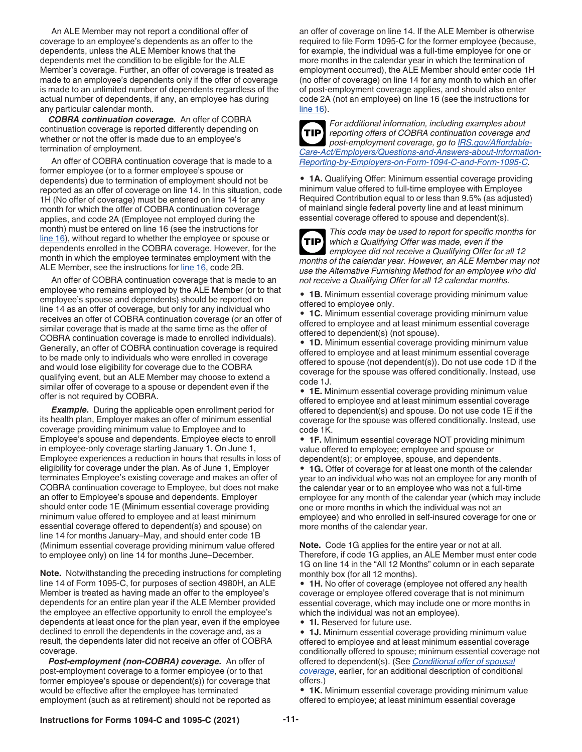An ALE Member may not report a conditional offer of coverage to an employee's dependents as an offer to the dependents, unless the ALE Member knows that the dependents met the condition to be eligible for the ALE Member's coverage. Further, an offer of coverage is treated as made to an employee's dependents only if the offer of coverage is made to an unlimited number of dependents regardless of the actual number of dependents, if any, an employee has during any particular calendar month.

*COBRA continuation coverage.* An offer of COBRA continuation coverage is reported differently depending on whether or not the offer is made due to an employee's termination of employment.

An offer of COBRA continuation coverage that is made to a former employee (or to a former employee's spouse or dependents) due to termination of employment should not be reported as an offer of coverage on line 14. In this situation, code 1H (No offer of coverage) must be entered on line 14 for any month for which the offer of COBRA continuation coverage applies, and code 2A (Employee not employed during the month) must be entered on line 16 (see the instructions for [line 16](#page-11-0)), without regard to whether the employee or spouse or dependents enrolled in the COBRA coverage. However, for the month in which the employee terminates employment with the ALE Member, see the instructions for [line 16,](#page-11-0) code 2B.

An offer of COBRA continuation coverage that is made to an employee who remains employed by the ALE Member (or to that employee's spouse and dependents) should be reported on line 14 as an offer of coverage, but only for any individual who receives an offer of COBRA continuation coverage (or an offer of similar coverage that is made at the same time as the offer of COBRA continuation coverage is made to enrolled individuals). Generally, an offer of COBRA continuation coverage is required to be made only to individuals who were enrolled in coverage and would lose eligibility for coverage due to the COBRA qualifying event, but an ALE Member may choose to extend a similar offer of coverage to a spouse or dependent even if the offer is not required by COBRA.

**Example.** During the applicable open enrollment period for its health plan, Employer makes an offer of minimum essential coverage providing minimum value to Employee and to Employee's spouse and dependents. Employee elects to enroll in employee-only coverage starting January 1. On June 1, Employee experiences a reduction in hours that results in loss of eligibility for coverage under the plan. As of June 1, Employer terminates Employee's existing coverage and makes an offer of COBRA continuation coverage to Employee, but does not make an offer to Employee's spouse and dependents. Employer should enter code 1E (Minimum essential coverage providing minimum value offered to employee and at least minimum essential coverage offered to dependent(s) and spouse) on line 14 for months January–May, and should enter code 1B (Minimum essential coverage providing minimum value offered to employee only) on line 14 for months June–December.

**Note.** Notwithstanding the preceding instructions for completing line 14 of Form 1095-C, for purposes of section 4980H, an ALE Member is treated as having made an offer to the employee's dependents for an entire plan year if the ALE Member provided the employee an effective opportunity to enroll the employee's dependents at least once for the plan year, even if the employee declined to enroll the dependents in the coverage and, as a result, the dependents later did not receive an offer of COBRA coverage.

*Post-employment (non-COBRA) coverage.* An offer of post-employment coverage to a former employee (or to that former employee's spouse or dependent(s)) for coverage that would be effective after the employee has terminated employment (such as at retirement) should not be reported as an offer of coverage on line 14. If the ALE Member is otherwise required to file Form 1095-C for the former employee (because, for example, the individual was a full-time employee for one or more months in the calendar year in which the termination of employment occurred), the ALE Member should enter code 1H (no offer of coverage) on line 14 for any month to which an offer of post-employment coverage applies, and should also enter code 2A (not an employee) on line 16 (see the instructions for [line 16](#page-11-0)).



*For additional information, including examples about reporting offers of COBRA continuation coverage and post-employment coverage, go to [IRS.gov/Affordable-](https://www.irs.gov/Affordable-Care-Act/Employers/Questions-and-Answers-about-Information-Reporting-by-Employers-on-Form-1094-C-and-Form-1095-C)[Care-Act/Employers/Questions-and-Answers-about-Information-](https://www.irs.gov/Affordable-Care-Act/Employers/Questions-and-Answers-about-Information-Reporting-by-Employers-on-Form-1094-C-and-Form-1095-C)[Reporting-by-Employers-on-Form-1094-C-and-Form-1095-C](https://www.irs.gov/Affordable-Care-Act/Employers/Questions-and-Answers-about-Information-Reporting-by-Employers-on-Form-1094-C-and-Form-1095-C).*

• **1A.** Qualifying Offer: Minimum essential coverage providing minimum value offered to full-time employee with Employee Required Contribution equal to or less than 9.5% (as adjusted) of mainland single federal poverty line and at least minimum essential coverage offered to spouse and dependent(s).

**TIP**

*This code may be used to report for specific months for which a Qualifying Offer was made, even if the employee did not receive a Qualifying Offer for all 12 months of the calendar year. However, an ALE Member may not use the Alternative Furnishing Method for an employee who did not receive a Qualifying Offer for all 12 calendar months.*

• **1B.** Minimum essential coverage providing minimum value offered to employee only.

• **1C.** Minimum essential coverage providing minimum value offered to employee and at least minimum essential coverage offered to dependent(s) (not spouse).

• **1D.** Minimum essential coverage providing minimum value offered to employee and at least minimum essential coverage offered to spouse (not dependent(s)). Do not use code 1D if the coverage for the spouse was offered conditionally. Instead, use code 1J.

• **1E.** Minimum essential coverage providing minimum value offered to employee and at least minimum essential coverage offered to dependent(s) and spouse. Do not use code 1E if the coverage for the spouse was offered conditionally. Instead, use code 1K.

• **1F.** Minimum essential coverage NOT providing minimum value offered to employee; employee and spouse or dependent(s); or employee, spouse, and dependents.

• **1G.** Offer of coverage for at least one month of the calendar year to an individual who was not an employee for any month of the calendar year or to an employee who was not a full-time employee for any month of the calendar year (which may include one or more months in which the individual was not an employee) and who enrolled in self-insured coverage for one or more months of the calendar year.

**Note.** Code 1G applies for the entire year or not at all. Therefore, if code 1G applies, an ALE Member must enter code 1G on line 14 in the "All 12 Months" column or in each separate monthly box (for all 12 months).

• **1H.** No offer of coverage (employee not offered any health coverage or employee offered coverage that is not minimum essential coverage, which may include one or more months in which the individual was not an employee).

• **1I.** Reserved for future use.

• **1J.** Minimum essential coverage providing minimum value offered to employee and at least minimum essential coverage conditionally offered to spouse; minimum essential coverage not offered to dependent(s). (See *[Conditional offer of spousal](#page-9-0) [coverage](#page-9-0)*, earlier, for an additional description of conditional offers.)

• **1K.** Minimum essential coverage providing minimum value offered to employee; at least minimum essential coverage

#### **Instructions for Forms 1094-C and 1095-C (2021) -11-**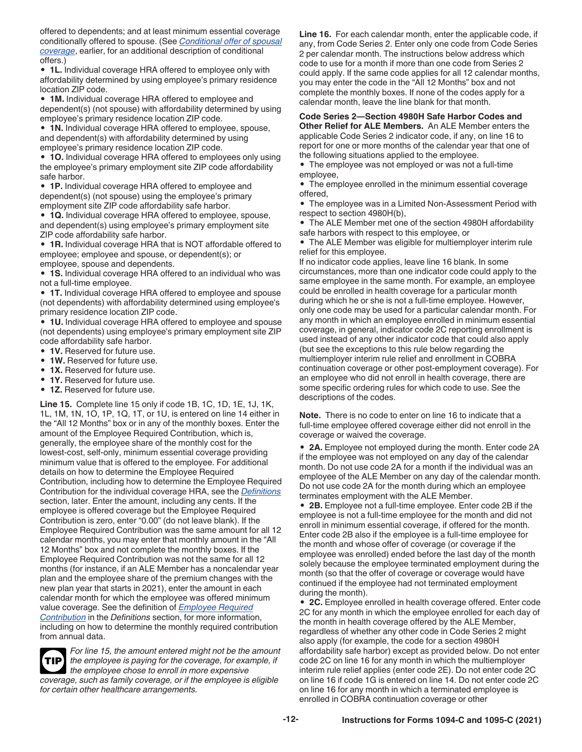<span id="page-11-0"></span>offered to dependents; and at least minimum essential coverage conditionally offered to spouse. (See *[Conditional offer of spousal](#page-9-0)  [coverage](#page-9-0)*, earlier, for an additional description of conditional offers.)

• **1L.** Individual coverage HRA offered to employee only with affordability determined by using employee's primary residence location ZIP code.

• **1M.** Individual coverage HRA offered to employee and dependent(s) (not spouse) with affordability determined by using employee's primary residence location ZIP code.

• **1N.** Individual coverage HRA offered to employee, spouse, and dependent(s) with affordability determined by using employee's primary residence location ZIP code.

• **1O.** Individual coverage HRA offered to employees only using the employee's primary employment site ZIP code affordability safe harbor.

• **1P.** Individual coverage HRA offered to employee and dependent(s) (not spouse) using the employee's primary employment site ZIP code affordability safe harbor.

• **1Q.** Individual coverage HRA offered to employee, spouse, and dependent(s) using employee's primary employment site ZIP code affordability safe harbor.

• **1R.** Individual coverage HRA that is NOT affordable offered to employee; employee and spouse, or dependent(s); or employee, spouse and dependents.

• **1S.** Individual coverage HRA offered to an individual who was not a full-time employee.

• **1T.** Individual coverage HRA offered to employee and spouse (not dependents) with affordability determined using employee's primary residence location ZIP code.

• **1U.** Individual coverage HRA offered to employee and spouse (not dependents) using employee's primary employment site ZIP code affordability safe harbor.

- **1V.** Reserved for future use.
- **1W.** Reserved for future use.
- **1X.** Reserved for future use.
- **1Y.** Reserved for future use.
- **1Z.** Reserved for future use.

**Line 15.** Complete line 15 only if code 1B, 1C, 1D, 1E, 1J, 1K, 1L, 1M, 1N, 1O, 1P, 1Q, 1T, or 1U, is entered on line 14 either in the "All 12 Months" box or in any of the monthly boxes. Enter the amount of the Employee Required Contribution, which is, generally, the employee share of the monthly cost for the lowest-cost, self-only, minimum essential coverage providing minimum value that is offered to the employee. For additional details on how to determine the Employee Required Contribution, including how to determine the Employee Required Contribution for the individual coverage HRA, see the *[Definitions](#page-13-0)*  section, later. Enter the amount, including any cents. If the employee is offered coverage but the Employee Required Contribution is zero, enter "0.00" (do not leave blank). If the Employee Required Contribution was the same amount for all 12 calendar months, you may enter that monthly amount in the "All 12 Months" box and not complete the monthly boxes. If the Employee Required Contribution was not the same for all 12 months (for instance, if an ALE Member has a noncalendar year plan and the employee share of the premium changes with the new plan year that starts in 2021), enter the amount in each calendar month for which the employee was offered minimum value coverage. See the definition of *[Employee Required](#page-14-0) [Contribution](#page-14-0)* in the *Definitions* section, for more information, including on how to determine the monthly required contribution from annual data.

*For line 15, the amount entered might not be the amount the employee is paying for the coverage, for example, if the employee chose to enroll in more expensive coverage, such as family coverage, or if the employee is eligible for certain other healthcare arrangements.* **TIP**

**Line 16.** For each calendar month, enter the applicable code, if any, from Code Series 2. Enter only one code from Code Series 2 per calendar month. The instructions below address which code to use for a month if more than one code from Series 2 could apply. If the same code applies for all 12 calendar months, you may enter the code in the "All 12 Months" box and not complete the monthly boxes. If none of the codes apply for a calendar month, leave the line blank for that month.

**Code Series 2—Section 4980H Safe Harbor Codes and Other Relief for ALE Members.** An ALE Member enters the applicable Code Series 2 indicator code, if any, on line 16 to report for one or more months of the calendar year that one of the following situations applied to the employee.

• The employee was not employed or was not a full-time employee,

• The employee enrolled in the minimum essential coverage offered,

• The employee was in a Limited Non-Assessment Period with respect to section 4980H(b),

• The ALE Member met one of the section 4980H affordability safe harbors with respect to this employee, or

• The ALE Member was eligible for multiemployer interim rule relief for this employee.

If no indicator code applies, leave line 16 blank. In some circumstances, more than one indicator code could apply to the same employee in the same month. For example, an employee could be enrolled in health coverage for a particular month during which he or she is not a full-time employee. However, only one code may be used for a particular calendar month. For any month in which an employee enrolled in minimum essential coverage, in general, indicator code 2C reporting enrollment is used instead of any other indicator code that could also apply (but see the exceptions to this rule below regarding the multiemployer interim rule relief and enrollment in COBRA continuation coverage or other post-employment coverage). For an employee who did not enroll in health coverage, there are some specific ordering rules for which code to use. See the descriptions of the codes.

**Note.** There is no code to enter on line 16 to indicate that a full-time employee offered coverage either did not enroll in the coverage or waived the coverage.

• **2A.** Employee not employed during the month. Enter code 2A if the employee was not employed on any day of the calendar month. Do not use code 2A for a month if the individual was an employee of the ALE Member on any day of the calendar month. Do not use code 2A for the month during which an employee terminates employment with the ALE Member.

• **2B.** Employee not a full-time employee. Enter code 2B if the employee is not a full-time employee for the month and did not enroll in minimum essential coverage, if offered for the month. Enter code 2B also if the employee is a full-time employee for the month and whose offer of coverage (or coverage if the employee was enrolled) ended before the last day of the month solely because the employee terminated employment during the month (so that the offer of coverage or coverage would have continued if the employee had not terminated employment during the month).

• **2C.** Employee enrolled in health coverage offered. Enter code 2C for any month in which the employee enrolled for each day of the month in health coverage offered by the ALE Member, regardless of whether any other code in Code Series 2 might also apply (for example, the code for a section 4980H affordability safe harbor) except as provided below. Do not enter code 2C on line 16 for any month in which the multiemployer interim rule relief applies (enter code 2E). Do not enter code 2C on line 16 if code 1G is entered on line 14. Do not enter code 2C on line 16 for any month in which a terminated employee is enrolled in COBRA continuation coverage or other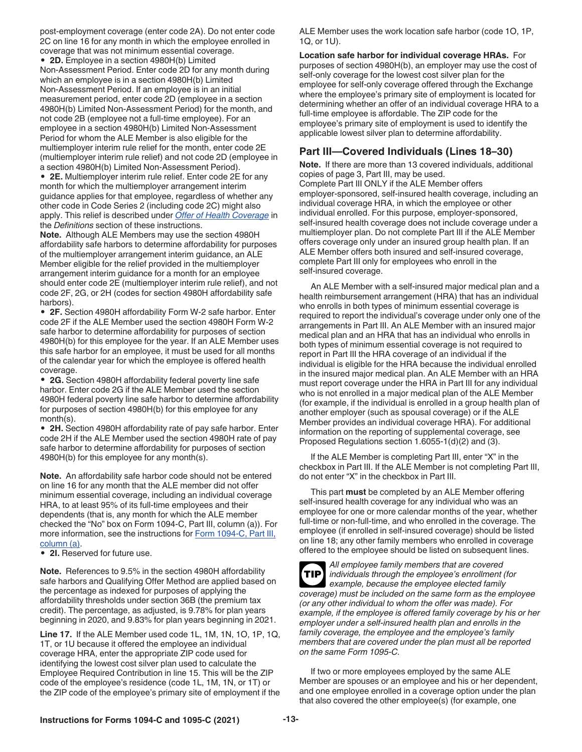<span id="page-12-0"></span>post-employment coverage (enter code 2A). Do not enter code 2C on line 16 for any month in which the employee enrolled in coverage that was not minimum essential coverage.

• **2D.** Employee in a section 4980H(b) Limited

Non-Assessment Period. Enter code 2D for any month during which an employee is in a section 4980H(b) Limited Non-Assessment Period. If an employee is in an initial measurement period, enter code 2D (employee in a section 4980H(b) Limited Non-Assessment Period) for the month, and not code 2B (employee not a full-time employee). For an employee in a section 4980H(b) Limited Non-Assessment Period for whom the ALE Member is also eligible for the multiemployer interim rule relief for the month, enter code 2E (multiemployer interim rule relief) and not code 2D (employee in a section 4980H(b) Limited Non-Assessment Period).

• **2E.** Multiemployer interim rule relief. Enter code 2E for any month for which the multiemployer arrangement interim guidance applies for that employee, regardless of whether any other code in Code Series 2 (including code 2C) might also apply. This relief is described under *[Offer of Health Coverage](#page-16-0)* in the *Definitions* section of these instructions.

**Note.** Although ALE Members may use the section 4980H affordability safe harbors to determine affordability for purposes of the multiemployer arrangement interim guidance, an ALE Member eligible for the relief provided in the multiemployer arrangement interim guidance for a month for an employee should enter code 2E (multiemployer interim rule relief), and not code 2F, 2G, or 2H (codes for section 4980H affordability safe harbors).

• **2F.** Section 4980H affordability Form W-2 safe harbor. Enter code 2F if the ALE Member used the section 4980H Form W-2 safe harbor to determine affordability for purposes of section 4980H(b) for this employee for the year. If an ALE Member uses this safe harbor for an employee, it must be used for all months of the calendar year for which the employee is offered health coverage.

• **2G.** Section 4980H affordability federal poverty line safe harbor. Enter code 2G if the ALE Member used the section 4980H federal poverty line safe harbor to determine affordability for purposes of section 4980H(b) for this employee for any month(s).

• **2H.** Section 4980H affordability rate of pay safe harbor. Enter code 2H if the ALE Member used the section 4980H rate of pay safe harbor to determine affordability for purposes of section 4980H(b) for this employee for any month(s).

**Note.** An affordability safe harbor code should not be entered on line 16 for any month that the ALE member did not offer minimum essential coverage, including an individual coverage HRA, to at least 95% of its full-time employees and their dependents (that is, any month for which the ALE member checked the "No" box on Form 1094-C, Part III, column (a)). For more information, see the instructions for [Form 1094-C, Part III,](#page-7-0) [column \(a\)](#page-7-0).

• **2I.** Reserved for future use.

**Note.** References to 9.5% in the section 4980H affordability safe harbors and Qualifying Offer Method are applied based on the percentage as indexed for purposes of applying the affordability thresholds under section 36B (the premium tax credit). The percentage, as adjusted, is 9.78% for plan years beginning in 2020, and 9.83% for plan years beginning in 2021.

**Line 17.** If the ALE Member used code 1L, 1M, 1N, 1O, 1P, 1Q, 1T, or 1U because it offered the employee an individual coverage HRA, enter the appropriate ZIP code used for identifying the lowest cost silver plan used to calculate the Employee Required Contribution in line 15. This will be the ZIP code of the employee's residence (code 1L, 1M, 1N, or 1T) or the ZIP code of the employee's primary site of employment if the ALE Member uses the work location safe harbor (code 1O, 1P, 1Q, or 1U).

**Location safe harbor for individual coverage HRAs.** For purposes of section 4980H(b), an employer may use the cost of self-only coverage for the lowest cost silver plan for the employee for self-only coverage offered through the Exchange where the employee's primary site of employment is located for determining whether an offer of an individual coverage HRA to a full-time employee is affordable. The ZIP code for the employee's primary site of employment is used to identify the applicable lowest silver plan to determine affordability.

#### **Part III—Covered Individuals (Lines 18–30)**

**Note.** If there are more than 13 covered individuals, additional copies of page 3, Part III, may be used. Complete Part III ONLY if the ALE Member offers employer-sponsored, self-insured health coverage, including an individual coverage HRA, in which the employee or other individual enrolled. For this purpose, employer-sponsored, self-insured health coverage does not include coverage under a multiemployer plan. Do not complete Part III if the ALE Member offers coverage only under an insured group health plan. If an ALE Member offers both insured and self-insured coverage, complete Part III only for employees who enroll in the self-insured coverage.

An ALE Member with a self-insured major medical plan and a health reimbursement arrangement (HRA) that has an individual who enrolls in both types of minimum essential coverage is required to report the individual's coverage under only one of the arrangements in Part III. An ALE Member with an insured major medical plan and an HRA that has an individual who enrolls in both types of minimum essential coverage is not required to report in Part III the HRA coverage of an individual if the individual is eligible for the HRA because the individual enrolled in the insured major medical plan. An ALE Member with an HRA must report coverage under the HRA in Part III for any individual who is not enrolled in a major medical plan of the ALE Member (for example, if the individual is enrolled in a group health plan of another employer (such as spousal coverage) or if the ALE Member provides an individual coverage HRA). For additional information on the reporting of supplemental coverage, see Proposed Regulations section 1.6055-1(d)(2) and (3).

If the ALE Member is completing Part III, enter "X" in the checkbox in Part III. If the ALE Member is not completing Part III, do not enter "X" in the checkbox in Part III.

This part **must** be completed by an ALE Member offering self-insured health coverage for any individual who was an employee for one or more calendar months of the year, whether full-time or non-full-time, and who enrolled in the coverage. The employee (if enrolled in self-insured coverage) should be listed on line 18; any other family members who enrolled in coverage offered to the employee should be listed on subsequent lines.



*All employee family members that are covered individuals through the employee's enrollment (for example, because the employee elected family coverage) must be included on the same form as the employee (or any other individual to whom the offer was made). For example, if the employee is offered family coverage by his or her employer under a self-insured health plan and enrolls in the family coverage, the employee and the employee's family members that are covered under the plan must all be reported on the same Form 1095-C.* **TIP**

If two or more employees employed by the same ALE Member are spouses or an employee and his or her dependent, and one employee enrolled in a coverage option under the plan that also covered the other employee(s) (for example, one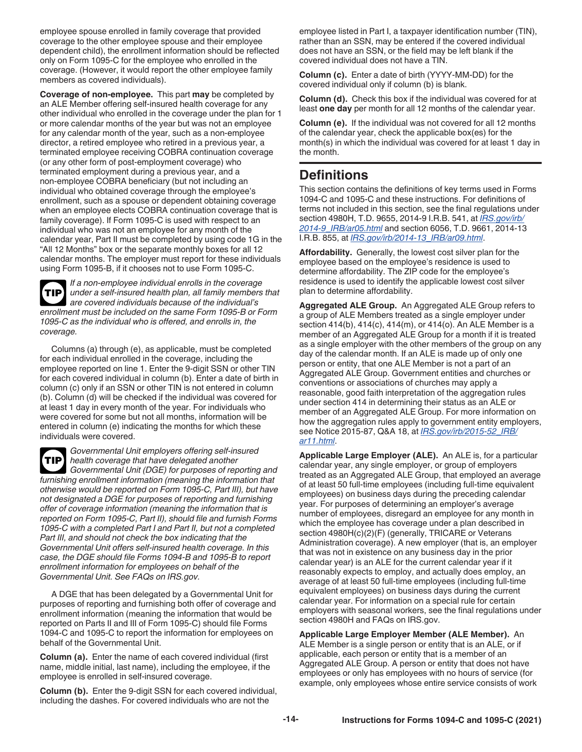<span id="page-13-0"></span>employee spouse enrolled in family coverage that provided coverage to the other employee spouse and their employee dependent child), the enrollment information should be reflected only on Form 1095-C for the employee who enrolled in the coverage. (However, it would report the other employee family members as covered individuals).

**Coverage of non-employee.** This part **may** be completed by an ALE Member offering self-insured health coverage for any other individual who enrolled in the coverage under the plan for 1 or more calendar months of the year but was not an employee for any calendar month of the year, such as a non-employee director, a retired employee who retired in a previous year, a terminated employee receiving COBRA continuation coverage (or any other form of post-employment coverage) who terminated employment during a previous year, and a non-employee COBRA beneficiary (but not including an individual who obtained coverage through the employee's enrollment, such as a spouse or dependent obtaining coverage when an employee elects COBRA continuation coverage that is family coverage). If Form 1095-C is used with respect to an individual who was not an employee for any month of the calendar year, Part II must be completed by using code 1G in the "All 12 Months" box or the separate monthly boxes for all 12 calendar months. The employer must report for these individuals using Form 1095-B, if it chooses not to use Form 1095-C.

*If a non-employee individual enrolls in the coverage under a self-insured health plan, all family members that are covered individuals because of the individual's enrollment must be included on the same Form 1095-B or Form 1095-C as the individual who is offered, and enrolls in, the coverage.* **TIP**

Columns (a) through (e), as applicable, must be completed for each individual enrolled in the coverage, including the employee reported on line 1. Enter the 9-digit SSN or other TIN for each covered individual in column (b). Enter a date of birth in column (c) only if an SSN or other TIN is not entered in column (b). Column (d) will be checked if the individual was covered for at least 1 day in every month of the year. For individuals who were covered for some but not all months, information will be entered in column (e) indicating the months for which these individuals were covered.

*Governmental Unit employers offering self-insured health coverage that have delegated another Governmental Unit (DGE) for purposes of reporting and furnishing enrollment information (meaning the information that otherwise would be reported on Form 1095-C, Part III), but have not designated a DGE for purposes of reporting and furnishing offer of coverage information (meaning the information that is reported on Form 1095-C, Part II), should file and furnish Forms 1095-C with a completed Part I and Part II, but not a completed Part III, and should not check the box indicating that the Governmental Unit offers self-insured health coverage. In this case, the DGE should file Forms 1094-B and 1095-B to report enrollment information for employees on behalf of the Governmental Unit. See FAQs on IRS.gov.* **TIP**

A DGE that has been delegated by a Governmental Unit for purposes of reporting and furnishing both offer of coverage and enrollment information (meaning the information that would be reported on Parts II and III of Form 1095-C) should file Forms 1094-C and 1095-C to report the information for employees on behalf of the Governmental Unit.

**Column (a).** Enter the name of each covered individual (first name, middle initial, last name), including the employee, if the employee is enrolled in self-insured coverage.

**Column (b).** Enter the 9-digit SSN for each covered individual, including the dashes. For covered individuals who are not the

employee listed in Part I, a taxpayer identification number (TIN), rather than an SSN, may be entered if the covered individual does not have an SSN, or the field may be left blank if the covered individual does not have a TIN.

**Column (c).** Enter a date of birth (YYYY-MM-DD) for the covered individual only if column (b) is blank.

**Column (d).** Check this box if the individual was covered for at least **one day** per month for all 12 months of the calendar year.

**Column (e).** If the individual was not covered for all 12 months of the calendar year, check the applicable box(es) for the month(s) in which the individual was covered for at least 1 day in the month.

### **Definitions**

This section contains the definitions of key terms used in Forms 1094-C and 1095-C and these instructions. For definitions of terms not included in this section, see the final regulations under section 4980H, T.D. 9655, 2014-9 I.R.B. 541, at *[IRS.gov/irb/](https://www.irs.gov/irb/2014-9_IRB/ar05.html) [2014-9\\_IRB/ar05.html](https://www.irs.gov/irb/2014-9_IRB/ar05.html)* and section 6056, T.D. 9661, 2014-13 I.R.B. 855, at *[IRS.gov/irb/2014-13\\_IRB/ar09.html](https://www.irs.gov/irb/2014-13_IRB/ar09.html)*.

**Affordability.** Generally, the lowest cost silver plan for the employee based on the employee's residence is used to determine affordability. The ZIP code for the employee's residence is used to identify the applicable lowest cost silver plan to determine affordability.

**Aggregated ALE Group.** An Aggregated ALE Group refers to a group of ALE Members treated as a single employer under section 414(b), 414(c), 414(m), or 414(o). An ALE Member is a member of an Aggregated ALE Group for a month if it is treated as a single employer with the other members of the group on any day of the calendar month. If an ALE is made up of only one person or entity, that one ALE Member is not a part of an Aggregated ALE Group. Government entities and churches or conventions or associations of churches may apply a reasonable, good faith interpretation of the aggregation rules under section 414 in determining their status as an ALE or member of an Aggregated ALE Group. For more information on how the aggregation rules apply to government entity employers, see Notice 2015-87, Q&A 18, at *[IRS.gov/irb/2015-52\\_IRB/](https://www.irs.gov/irb/2015-52_IRB/ar11.html) [ar11.html](https://www.irs.gov/irb/2015-52_IRB/ar11.html)*.

**Applicable Large Employer (ALE).** An ALE is, for a particular calendar year, any single employer, or group of employers treated as an Aggregated ALE Group, that employed an average of at least 50 full-time employees (including full-time equivalent employees) on business days during the preceding calendar year. For purposes of determining an employer's average number of employees, disregard an employee for any month in which the employee has coverage under a plan described in section 4980H(c)(2)(F) (generally, TRICARE or Veterans Administration coverage). A new employer (that is, an employer that was not in existence on any business day in the prior calendar year) is an ALE for the current calendar year if it reasonably expects to employ, and actually does employ, an average of at least 50 full-time employees (including full-time equivalent employees) on business days during the current calendar year. For information on a special rule for certain employers with seasonal workers, see the final regulations under section 4980H and FAQs on IRS.gov.

**Applicable Large Employer Member (ALE Member).** An ALE Member is a single person or entity that is an ALE, or if applicable, each person or entity that is a member of an Aggregated ALE Group. A person or entity that does not have employees or only has employees with no hours of service (for example, only employees whose entire service consists of work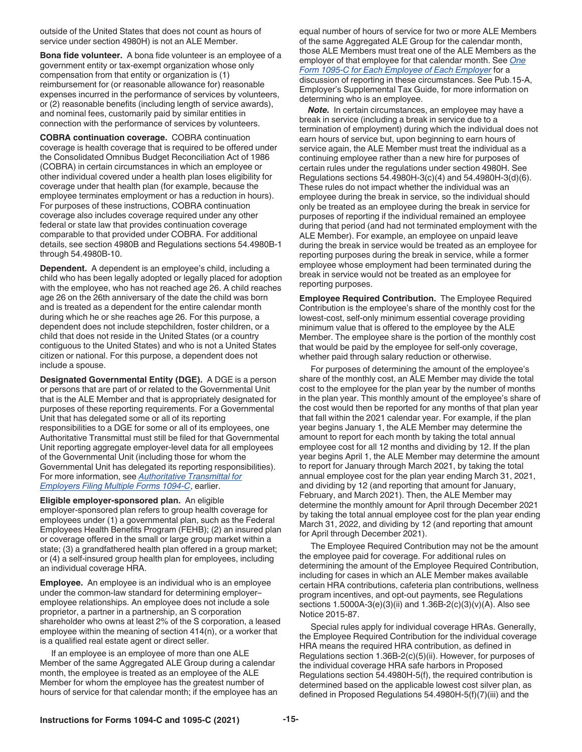<span id="page-14-0"></span>outside of the United States that does not count as hours of service under section 4980H) is not an ALE Member.

**Bona fide volunteer.** A bona fide volunteer is an employee of a government entity or tax-exempt organization whose only compensation from that entity or organization is (1) reimbursement for (or reasonable allowance for) reasonable expenses incurred in the performance of services by volunteers, or (2) reasonable benefits (including length of service awards), and nominal fees, customarily paid by similar entities in connection with the performance of services by volunteers.

**COBRA continuation coverage.** COBRA continuation coverage is health coverage that is required to be offered under the Consolidated Omnibus Budget Reconciliation Act of 1986 (COBRA) in certain circumstances in which an employee or other individual covered under a health plan loses eligibility for coverage under that health plan (for example, because the employee terminates employment or has a reduction in hours). For purposes of these instructions, COBRA continuation coverage also includes coverage required under any other federal or state law that provides continuation coverage comparable to that provided under COBRA. For additional details, see section 4980B and Regulations sections 54.4980B-1 through 54.4980B-10.

**Dependent.** A dependent is an employee's child, including a child who has been legally adopted or legally placed for adoption with the employee, who has not reached age 26. A child reaches age 26 on the 26th anniversary of the date the child was born and is treated as a dependent for the entire calendar month during which he or she reaches age 26. For this purpose, a dependent does not include stepchildren, foster children, or a child that does not reside in the United States (or a country contiguous to the United States) and who is not a United States citizen or national. For this purpose, a dependent does not include a spouse.

**Designated Governmental Entity (DGE).** A DGE is a person or persons that are part of or related to the Governmental Unit that is the ALE Member and that is appropriately designated for purposes of these reporting requirements. For a Governmental Unit that has delegated some or all of its reporting responsibilities to a DGE for some or all of its employees, one Authoritative Transmittal must still be filed for that Governmental Unit reporting aggregate employer-level data for all employees of the Governmental Unit (including those for whom the Governmental Unit has delegated its reporting responsibilities). For more information, see *[Authoritative Transmittal for](#page-1-0) [Employers Filing Multiple Forms 1094-C](#page-1-0)*, earlier.

**Eligible employer-sponsored plan.** An eligible employer-sponsored plan refers to group health coverage for employees under (1) a governmental plan, such as the Federal Employees Health Benefits Program (FEHB); (2) an insured plan or coverage offered in the small or large group market within a state; (3) a grandfathered health plan offered in a group market; or (4) a self-insured group health plan for employees, including an individual coverage HRA.

**Employee.** An employee is an individual who is an employee under the common-law standard for determining employer– employee relationships. An employee does not include a sole proprietor, a partner in a partnership, an S corporation shareholder who owns at least 2% of the S corporation, a leased employee within the meaning of section 414(n), or a worker that is a qualified real estate agent or direct seller.

If an employee is an employee of more than one ALE Member of the same Aggregated ALE Group during a calendar month, the employee is treated as an employee of the ALE Member for whom the employee has the greatest number of hours of service for that calendar month; if the employee has an equal number of hours of service for two or more ALE Members of the same Aggregated ALE Group for the calendar month, those ALE Members must treat one of the ALE Members as the employer of that employee for that calendar month. See *[One](#page-2-0) [Form 1095-C for Each Employee of Each Employer](#page-2-0)* for a discussion of reporting in these circumstances. See Pub.15-A, Employer's Supplemental Tax Guide, for more information on determining who is an employee.

**Note.** In certain circumstances, an employee may have a break in service (including a break in service due to a termination of employment) during which the individual does not earn hours of service but, upon beginning to earn hours of service again, the ALE Member must treat the individual as a continuing employee rather than a new hire for purposes of certain rules under the regulations under section 4980H. See Regulations sections 54.4980H-3(c)(4) and 54.4980H-3(d)(6). These rules do not impact whether the individual was an employee during the break in service, so the individual should only be treated as an employee during the break in service for purposes of reporting if the individual remained an employee during that period (and had not terminated employment with the ALE Member). For example, an employee on unpaid leave during the break in service would be treated as an employee for reporting purposes during the break in service, while a former employee whose employment had been terminated during the break in service would not be treated as an employee for reporting purposes.

**Employee Required Contribution.** The Employee Required Contribution is the employee's share of the monthly cost for the lowest-cost, self-only minimum essential coverage providing minimum value that is offered to the employee by the ALE Member. The employee share is the portion of the monthly cost that would be paid by the employee for self-only coverage, whether paid through salary reduction or otherwise.

For purposes of determining the amount of the employee's share of the monthly cost, an ALE Member may divide the total cost to the employee for the plan year by the number of months in the plan year. This monthly amount of the employee's share of the cost would then be reported for any months of that plan year that fall within the 2021 calendar year. For example, if the plan year begins January 1, the ALE Member may determine the amount to report for each month by taking the total annual employee cost for all 12 months and dividing by 12. If the plan year begins April 1, the ALE Member may determine the amount to report for January through March 2021, by taking the total annual employee cost for the plan year ending March 31, 2021, and dividing by 12 (and reporting that amount for January, February, and March 2021). Then, the ALE Member may determine the monthly amount for April through December 2021 by taking the total annual employee cost for the plan year ending March 31, 2022, and dividing by 12 (and reporting that amount for April through December 2021).

The Employee Required Contribution may not be the amount the employee paid for coverage. For additional rules on determining the amount of the Employee Required Contribution, including for cases in which an ALE Member makes available certain HRA contributions, cafeteria plan contributions, wellness program incentives, and opt-out payments, see Regulations sections 1.5000A-3(e)(3)(ii) and 1.36B-2(c)(3)(v)(A). Also see Notice 2015-87.

Special rules apply for individual coverage HRAs. Generally, the Employee Required Contribution for the individual coverage HRA means the required HRA contribution, as defined in Regulations section 1.36B-2(c)(5)(ii). However, for purposes of the individual coverage HRA safe harbors in Proposed Regulations section 54.4980H-5(f), the required contribution is determined based on the applicable lowest cost silver plan, as defined in Proposed Regulations 54.4980H-5(f)(7)(iii) and the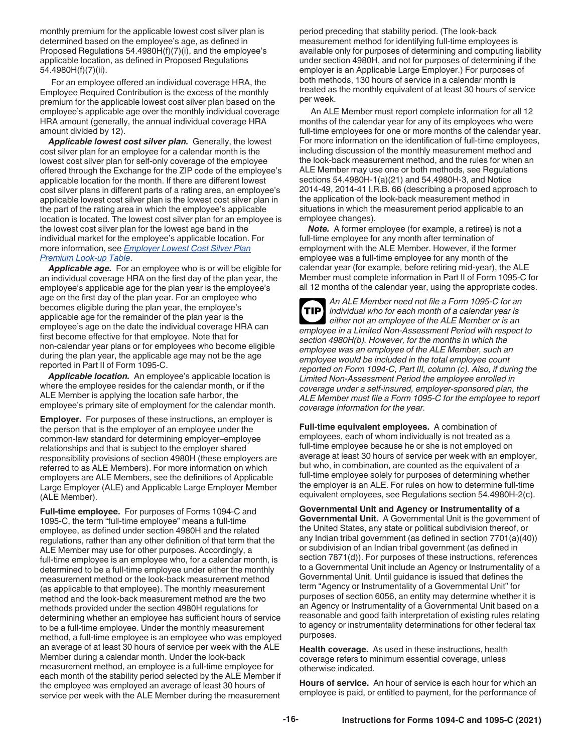<span id="page-15-0"></span>monthly premium for the applicable lowest cost silver plan is determined based on the employee's age, as defined in Proposed Regulations 54.4980H(f)(7)(i), and the employee's applicable location, as defined in Proposed Regulations 54.4980H(f)(7)(ii).

For an employee offered an individual coverage HRA, the Employee Required Contribution is the excess of the monthly premium for the applicable lowest cost silver plan based on the employee's applicable age over the monthly individual coverage HRA amount (generally, the annual individual coverage HRA amount divided by 12).

*Applicable lowest cost silver plan.* Generally, the lowest cost silver plan for an employee for a calendar month is the lowest cost silver plan for self-only coverage of the employee offered through the Exchange for the ZIP code of the employee's applicable location for the month. If there are different lowest cost silver plans in different parts of a rating area, an employee's applicable lowest cost silver plan is the lowest cost silver plan in the part of the rating area in which the employee's applicable location is located. The lowest cost silver plan for an employee is the lowest cost silver plan for the lowest age band in the individual market for the employee's applicable location. For more information, see *[Employer Lowest Cost Silver Plan](https://www.cms.gov/blog/how-health-reimbursement-agreements-hras-help-employers-expand-coverage-options-their-employees)  [Premium Look-up Table](https://www.cms.gov/blog/how-health-reimbursement-agreements-hras-help-employers-expand-coverage-options-their-employees)*.

*Applicable age.* For an employee who is or will be eligible for an individual coverage HRA on the first day of the plan year, the employee's applicable age for the plan year is the employee's age on the first day of the plan year. For an employee who becomes eligible during the plan year, the employee's applicable age for the remainder of the plan year is the employee's age on the date the individual coverage HRA can first become effective for that employee. Note that for non-calendar year plans or for employees who become eligible during the plan year, the applicable age may not be the age reported in Part II of Form 1095-C.

*Applicable location.* An employee's applicable location is where the employee resides for the calendar month, or if the ALE Member is applying the location safe harbor, the employee's primary site of employment for the calendar month.

**Employer.** For purposes of these instructions, an employer is the person that is the employer of an employee under the common-law standard for determining employer–employee relationships and that is subject to the employer shared responsibility provisions of section 4980H (these employers are referred to as ALE Members). For more information on which employers are ALE Members, see the definitions of Applicable Large Employer (ALE) and Applicable Large Employer Member (ALE Member).

**Full-time employee.** For purposes of Forms 1094-C and 1095-C, the term "full-time employee" means a full-time employee, as defined under section 4980H and the related regulations, rather than any other definition of that term that the ALE Member may use for other purposes. Accordingly, a full-time employee is an employee who, for a calendar month, is determined to be a full-time employee under either the monthly measurement method or the look-back measurement method (as applicable to that employee). The monthly measurement method and the look-back measurement method are the two methods provided under the section 4980H regulations for determining whether an employee has sufficient hours of service to be a full-time employee. Under the monthly measurement method, a full-time employee is an employee who was employed an average of at least 30 hours of service per week with the ALE Member during a calendar month. Under the look-back measurement method, an employee is a full-time employee for each month of the stability period selected by the ALE Member if the employee was employed an average of least 30 hours of service per week with the ALE Member during the measurement

period preceding that stability period. (The look-back measurement method for identifying full-time employees is available only for purposes of determining and computing liability under section 4980H, and not for purposes of determining if the employer is an Applicable Large Employer.) For purposes of both methods, 130 hours of service in a calendar month is treated as the monthly equivalent of at least 30 hours of service per week.

An ALE Member must report complete information for all 12 months of the calendar year for any of its employees who were full-time employees for one or more months of the calendar year. For more information on the identification of full-time employees, including discussion of the monthly measurement method and the look-back measurement method, and the rules for when an ALE Member may use one or both methods, see Regulations sections 54.4980H-1(a)(21) and 54.4980H-3, and Notice 2014-49, 2014-41 I.R.B. 66 (describing a proposed approach to the application of the look-back measurement method in situations in which the measurement period applicable to an employee changes).

*Note.* A former employee (for example, a retiree) is not a full-time employee for any month after termination of employment with the ALE Member. However, if the former employee was a full-time employee for any month of the calendar year (for example, before retiring mid-year), the ALE Member must complete information in Part II of Form 1095-C for all 12 months of the calendar year, using the appropriate codes.

*An ALE Member need not file a Form 1095-C for an individual who for each month of a calendar year is either not an employee of the ALE Member or is an employee in a Limited Non-Assessment Period with respect to section 4980H(b). However, for the months in which the employee was an employee of the ALE Member, such an employee would be included in the total employee count reported on Form 1094-C, Part III, column (c). Also, if during the Limited Non-Assessment Period the employee enrolled in coverage under a self-insured, employer-sponsored plan, the ALE Member must file a Form 1095-C for the employee to report coverage information for the year.* **TIP**

**Full-time equivalent employees.** A combination of employees, each of whom individually is not treated as a full-time employee because he or she is not employed on average at least 30 hours of service per week with an employer, but who, in combination, are counted as the equivalent of a full-time employee solely for purposes of determining whether the employer is an ALE. For rules on how to determine full-time equivalent employees, see Regulations section 54.4980H-2(c).

**Governmental Unit and Agency or Instrumentality of a Governmental Unit.** A Governmental Unit is the government of the United States, any state or political subdivision thereof, or any Indian tribal government (as defined in section 7701(a)(40)) or subdivision of an Indian tribal government (as defined in section 7871(d)). For purposes of these instructions, references to a Governmental Unit include an Agency or Instrumentality of a Governmental Unit. Until guidance is issued that defines the term "Agency or Instrumentality of a Governmental Unit" for purposes of section 6056, an entity may determine whether it is an Agency or Instrumentality of a Governmental Unit based on a reasonable and good faith interpretation of existing rules relating to agency or instrumentality determinations for other federal tax purposes.

**Health coverage.** As used in these instructions, health coverage refers to minimum essential coverage, unless otherwise indicated.

**Hours of service.** An hour of service is each hour for which an employee is paid, or entitled to payment, for the performance of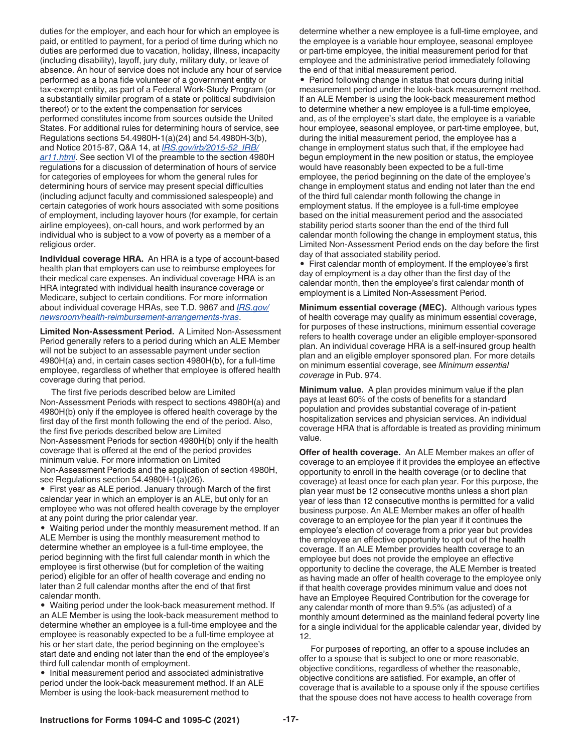<span id="page-16-0"></span>duties for the employer, and each hour for which an employee is paid, or entitled to payment, for a period of time during which no duties are performed due to vacation, holiday, illness, incapacity (including disability), layoff, jury duty, military duty, or leave of absence. An hour of service does not include any hour of service performed as a bona fide volunteer of a government entity or tax-exempt entity, as part of a Federal Work-Study Program (or a substantially similar program of a state or political subdivision thereof) or to the extent the compensation for services performed constitutes income from sources outside the United States. For additional rules for determining hours of service, see Regulations sections 54.4980H-1(a)(24) and 54.4980H-3(b), and Notice 2015-87, Q&A 14, at *[IRS.gov/irb/2015-52\\_IRB/](https://www.irs.gov/irb/2015-52_IRB/ar11.html) [ar11.html](https://www.irs.gov/irb/2015-52_IRB/ar11.html)*. See section VI of the preamble to the section 4980H regulations for a discussion of determination of hours of service for categories of employees for whom the general rules for determining hours of service may present special difficulties (including adjunct faculty and commissioned salespeople) and certain categories of work hours associated with some positions of employment, including layover hours (for example, for certain airline employees), on-call hours, and work performed by an individual who is subject to a vow of poverty as a member of a religious order.

**Individual coverage HRA.** An HRA is a type of account-based health plan that employers can use to reimburse employees for their medical care expenses. An individual coverage HRA is an HRA integrated with individual health insurance coverage or Medicare, subject to certain conditions. For more information about individual coverage HRAs, see T.D. 9867 and *[IRS.gov/](https://www.irs.gov/newsroom/health-reimbursement-arrangements-hras) [newsroom/health-reimbursement-arrangements-hras](https://www.irs.gov/newsroom/health-reimbursement-arrangements-hras)*.

**Limited Non-Assessment Period.** A Limited Non-Assessment Period generally refers to a period during which an ALE Member will not be subject to an assessable payment under section 4980H(a) and, in certain cases section 4980H(b), for a full-time employee, regardless of whether that employee is offered health coverage during that period.

The first five periods described below are Limited Non-Assessment Periods with respect to sections 4980H(a) and 4980H(b) only if the employee is offered health coverage by the first day of the first month following the end of the period. Also, the first five periods described below are Limited Non-Assessment Periods for section 4980H(b) only if the health coverage that is offered at the end of the period provides minimum value. For more information on Limited Non-Assessment Periods and the application of section 4980H, see Regulations section 54.4980H-1(a)(26).

• First year as ALE period. January through March of the first calendar year in which an employer is an ALE, but only for an employee who was not offered health coverage by the employer at any point during the prior calendar year.

• Waiting period under the monthly measurement method. If an ALE Member is using the monthly measurement method to determine whether an employee is a full-time employee, the period beginning with the first full calendar month in which the employee is first otherwise (but for completion of the waiting period) eligible for an offer of health coverage and ending no later than 2 full calendar months after the end of that first calendar month.

• Waiting period under the look-back measurement method. If an ALE Member is using the look-back measurement method to determine whether an employee is a full-time employee and the employee is reasonably expected to be a full-time employee at his or her start date, the period beginning on the employee's start date and ending not later than the end of the employee's third full calendar month of employment.

• Initial measurement period and associated administrative period under the look-back measurement method. If an ALE Member is using the look-back measurement method to

determine whether a new employee is a full-time employee, and the employee is a variable hour employee, seasonal employee or part-time employee, the initial measurement period for that employee and the administrative period immediately following the end of that initial measurement period.

• Period following change in status that occurs during initial measurement period under the look-back measurement method. If an ALE Member is using the look-back measurement method to determine whether a new employee is a full-time employee, and, as of the employee's start date, the employee is a variable hour employee, seasonal employee, or part-time employee, but, during the initial measurement period, the employee has a change in employment status such that, if the employee had begun employment in the new position or status, the employee would have reasonably been expected to be a full-time employee, the period beginning on the date of the employee's change in employment status and ending not later than the end of the third full calendar month following the change in employment status. If the employee is a full-time employee based on the initial measurement period and the associated stability period starts sooner than the end of the third full calendar month following the change in employment status, this Limited Non-Assessment Period ends on the day before the first day of that associated stability period.

• First calendar month of employment. If the employee's first day of employment is a day other than the first day of the calendar month, then the employee's first calendar month of employment is a Limited Non-Assessment Period.

**Minimum essential coverage (MEC).** Although various types of health coverage may qualify as minimum essential coverage, for purposes of these instructions, minimum essential coverage refers to health coverage under an eligible employer-sponsored plan. An individual coverage HRA is a self-insured group health plan and an eligible employer sponsored plan. For more details on minimum essential coverage, see *Minimum essential coverage* in Pub. 974.

**Minimum value.** A plan provides minimum value if the plan pays at least 60% of the costs of benefits for a standard population and provides substantial coverage of in-patient hospitalization services and physician services. An individual coverage HRA that is affordable is treated as providing minimum value.

**Offer of health coverage.** An ALE Member makes an offer of coverage to an employee if it provides the employee an effective opportunity to enroll in the health coverage (or to decline that coverage) at least once for each plan year. For this purpose, the plan year must be 12 consecutive months unless a short plan year of less than 12 consecutive months is permitted for a valid business purpose. An ALE Member makes an offer of health coverage to an employee for the plan year if it continues the employee's election of coverage from a prior year but provides the employee an effective opportunity to opt out of the health coverage. If an ALE Member provides health coverage to an employee but does not provide the employee an effective opportunity to decline the coverage, the ALE Member is treated as having made an offer of health coverage to the employee only if that health coverage provides minimum value and does not have an Employee Required Contribution for the coverage for any calendar month of more than 9.5% (as adjusted) of a monthly amount determined as the mainland federal poverty line for a single individual for the applicable calendar year, divided by 12.

For purposes of reporting, an offer to a spouse includes an offer to a spouse that is subject to one or more reasonable, objective conditions, regardless of whether the reasonable, objective conditions are satisfied. For example, an offer of coverage that is available to a spouse only if the spouse certifies that the spouse does not have access to health coverage from